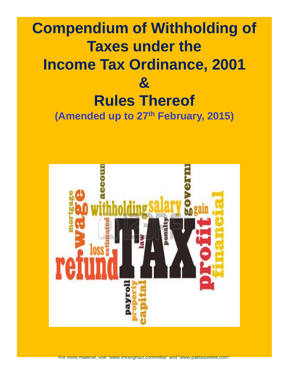## **Compendium of Withholding of Taxes under the Income Tax Ordinance, 2001 & Rules Thereof Rules (Amended up to 27th February, 2015)**



For more material, visit "www.imranghazi.com/mtba" and "www.paktaxonline.com"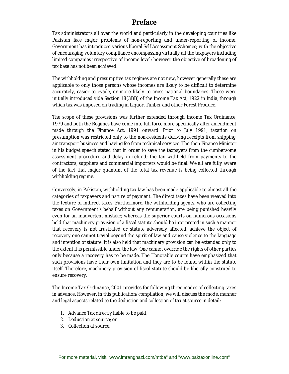#### **Preface**

Tax administrators all over the world and particularly in the developing countries like Pakistan face major problems of non-reporting and under-reporting of income. Government has introduced various liberal Self Assessment Schemes; with the objective of encouraging voluntary compliance encompassing virtually all the taxpayers including limited companies irrespective of income level; however the objective of broadening of tax base has not been achieved.

The withholding and presumptive tax regimes are not new, however generally these are applicable to only those persons whose incomes are likely to be difficult to determine accurately, easier to evade, or more likely to cross national boundaries. These were initially introduced vide Section 18(3BB) of the Income Tax Act, 1922 in India, through which tax was imposed on trading in Liquor, Timber and other Forest Produce.

The scope of these provisions was further extended through Income Tax Ordinance, 1979 and both the Regimes have come into full force more specifically after amendment made through the Finance Act, 1991 onward. Prior to July 1991, taxation on presumption was restricted only to the non-residents deriving receipts from shipping, air transport business and having fee from technical services. The then Finance Minister in his budget speech stated that in order to save the taxpayers from the cumbersome assessment procedure and delay in refund; the tax withheld from payments to the contractors, suppliers and commercial importers would be final. We all are fully aware of the fact that major quantum of the total tax revenue is being collected through withholding regime.

Conversely, in Pakistan, withholding tax law has been made applicable to almost all the categories of taxpayers and nature of payment. The direct taxes have been weaved into the texture of indirect taxes. Furthermore, the withholding agents, who are collecting taxes on Government's behalf without any remuneration, are being punished heavily even for an inadvertent mistake; whereas the superior courts on numerous occasions held that machinery provision of a fiscal statute should be interpreted in such a manner that recovery is not frustrated or statute adversely affected, achieve the object of recovery one cannot travel beyond the spirit of law and cause violence to the language and intention of statute. It is also held that machinery provision can be extended only to the extent it is permissible under the law. One cannot override the rights of other parties only because a recovery has to be made. The Honorable courts have emphasized that such provisions have their own limitation and they are to be found within the statute itself. Therefore, machinery provision of fiscal statute should be liberally construed to ensure recovery.

The Income Tax Ordinance, 2001 provides for following three modes of collecting taxes in advance. However, in this publication/compilation, we will discuss the mode, manner and legal aspects related to the deduction and collection of tax at source in detail: -

- 1. Advance Tax directly liable to be paid;
- 2. Deduction at source; or
- 3. Collection at source.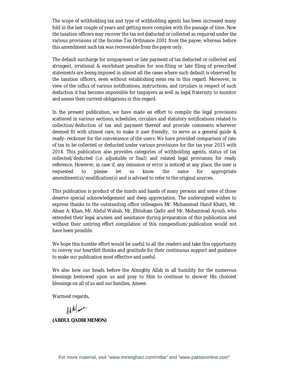The scope of withholding tax and type of withholding agents has been increased many fold in the last couple of years and getting more complex with the passage of time. Now the taxation officers may recover the tax not deducted or collected as required under the various provisions of the Income Tax Ordinance 2001 from the payee; whereas before this amendment such tax was recoverable from the payer only.

The default surcharge for nonpayment or late payment of tax deducted or collected and stringent, irrational & exorbitant penalties for non-filing or late filing of prescribed statements are being imposed in almost all the cases where such default is observed by the taxation officers, even without establishing *mens rea* in this regard. Moreover, in view of the influx of various notifications, instructions, and circulars in respect of such deduction it has become impossible for taxpayers as well as legal fraternity to monitor and assess their current obligations in this regard.

In the present publication, we have made an effort to compile the legal provisions scattered in various sections, schedules, circulars and statutory notifications related to collection/deduction of tax and payment thereof and provide comments wherever deemed fit with utmost care, to make it user friendly, to serve as a general guide & ready- reckoner for the convenience of the users. We have provided comparison of rate of tax to be collected or deducted under various provisions for the tax year 2015 with 2014. This publication also provides categories of withholding agents, status of tax collected/deducted *(i.e. adjustable or final)* and related legal provisions for ready reference. However, in case if, any omission or error is noticed at any place, the user is requested to please let us know the same for appropriate amendment(s)/modification(s) and is advised to refer to the original sources.

This publication is product of the minds and hands of many persons and some of those deserve special acknowledgement and deep appreciation. The undersigned wishes to express thanks to the outstanding office colleagues Mr. Muhammad Hanif Khatri, Mr. Absar A. Khan, Mr. Abdul Wahab, Mr. Ehtisham Qadir and Mr. Mohammad Ayoub, who extended their legal acumen and assistance during preparation of this publication and without their untiring effort compilation of this compendium/publication would not have been possible.

We hope this humble effort would be useful to all the readers and take this opportunity to convey our heartfelt thanks and gratitude for their continuous support and guidance to make our publication most effective and useful.

We also bow our heads before the Almighty Allah in all humility for the numerous blessings bestowed upon us and pray to Him to continue to shower His choicest blessings on all of us and our families. Ameen

Warmest regards,

Hu Mann-

**(ABDUL QADIR MEMON)**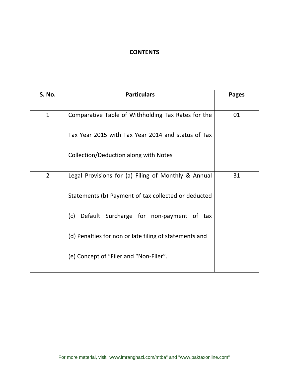#### **CONTENTS**

| <b>S. No.</b>  | <b>Particulars</b>                                     | <b>Pages</b> |
|----------------|--------------------------------------------------------|--------------|
| $\mathbf{1}$   | Comparative Table of Withholding Tax Rates for the     | 01           |
|                | Tax Year 2015 with Tax Year 2014 and status of Tax     |              |
|                | Collection/Deduction along with Notes                  |              |
| $\overline{2}$ | Legal Provisions for (a) Filing of Monthly & Annual    | 31           |
|                | Statements (b) Payment of tax collected or deducted    |              |
|                | Default Surcharge for non-payment of tax<br>(c)        |              |
|                | (d) Penalties for non or late filing of statements and |              |
|                | (e) Concept of "Filer and "Non-Filer".                 |              |
|                |                                                        |              |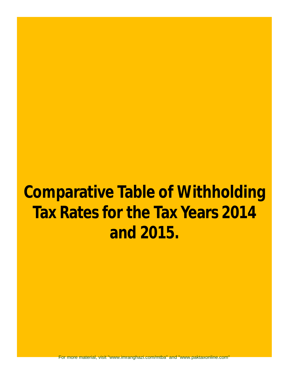For more material, visit "www.imranghazi.com/mtba" and "www.paktaxonline.com"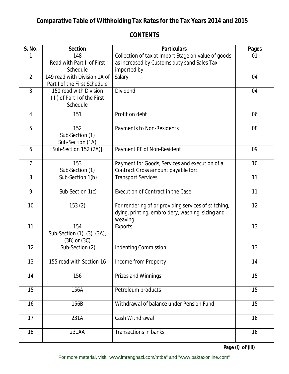#### **CONTENTS**

| <b>S. No.</b>  | <b>Section</b>               | <b>Particulars</b>                                   | <b>Pages</b> |
|----------------|------------------------------|------------------------------------------------------|--------------|
|                | 148                          | Collection of tax at Import Stage on value of goods  | 01           |
|                | Read with Part II of First   | as increased by Customs duty sand Sales Tax          |              |
|                | Schedule                     | imported by                                          |              |
| $\overline{2}$ | 149 read with Division 1A of | Salary                                               | 04           |
|                | Part I of the First Schedule |                                                      |              |
| 3              | 150 read with Division       | <b>Dividend</b>                                      | 04           |
|                | (III) of Part I of the First |                                                      |              |
|                | Schedule                     |                                                      |              |
| 4              | 151                          | Profit on debt                                       | 06           |
|                |                              |                                                      |              |
| 5              | 152                          | Payments to Non-Residents                            | 08           |
|                | Sub-Section (1)              |                                                      |              |
|                | Sub-Section (1A)             |                                                      |              |
| 6              | Sub-Section 152 (2A)]        | Payment PE of Non-Resident                           | 09           |
| $\overline{7}$ | 153                          | Payment for Goods, Services and execution of a       | 10           |
|                | Sub-Section (1)              | Contract Gross amount payable for:                   |              |
| 8              | Sub-Section 1(b)             | <b>Transport Services</b>                            | 11           |
|                |                              |                                                      |              |
| 9              | Sub-Section 1(c)             | <b>Execution of Contract in the Case</b>             | 11           |
|                |                              |                                                      |              |
| 10             | 153(2)                       | For rendering of or providing services of stitching, | 12           |
|                |                              | dying, printing, embroidery, washing, sizing and     |              |
|                |                              | weaving                                              |              |
| 11             | 154                          | <b>Exports</b>                                       | 13           |
|                | Sub-Section (1), (3), (3A),  |                                                      |              |
|                | $(3B)$ or $(3C)$             |                                                      |              |
| 12             | Sub-Section (2)              | <b>Indenting Commission</b>                          | 13           |
| 13             | 155 read with Section 16     | Income from Property                                 | 14           |
|                |                              |                                                      |              |
| 14             | 156                          | Prizes and Winnings                                  | 15           |
|                |                              |                                                      |              |
| 15             | 156A                         | Petroleum products                                   | 15           |
|                |                              |                                                      |              |
| 16             | 156B                         | Withdrawal of balance under Pension Fund             | 15           |
|                |                              |                                                      |              |
| 17             | 231A                         | Cash Withdrawal                                      | 16           |
|                |                              |                                                      |              |
| 18             | 231AA                        | <b>Transactions in banks</b>                         | 16           |
|                |                              |                                                      |              |

**Page (i) of (iii)**

For more material, visit "www.imranghazi.com/mtba" and "www.paktaxonline.com"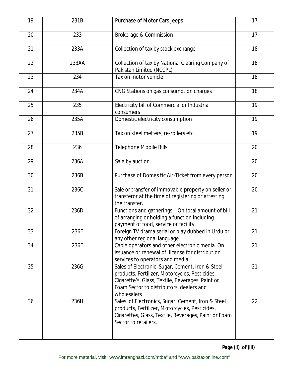| 19 | 231B  | Purchase of Motor Cars Jeeps                                                                                                                                                                                      | 17 |
|----|-------|-------------------------------------------------------------------------------------------------------------------------------------------------------------------------------------------------------------------|----|
| 20 | 233   | Brokerage & Commission                                                                                                                                                                                            | 17 |
| 21 | 233A  | Collection of tax by stock exchange                                                                                                                                                                               | 18 |
| 22 | 233AA | Collection of tax by National Clearing Company of<br>Pakistan Limited (NCCPL)                                                                                                                                     | 18 |
| 23 | 234   | Tax on motor vehicle                                                                                                                                                                                              | 18 |
| 24 | 234A  | CNG Stations on gas consumption charges                                                                                                                                                                           | 18 |
| 25 | 235   | Electricity bill of Commercial or Industrial<br>consumers                                                                                                                                                         | 19 |
| 26 | 235A  | Domestic electricity consumption                                                                                                                                                                                  | 19 |
| 27 | 235B  | Tax on steel melters, re-rollers etc.                                                                                                                                                                             | 19 |
| 28 | 236   | <b>Telephone Mobile Bills</b>                                                                                                                                                                                     | 20 |
| 29 | 236A  | Sale by auction                                                                                                                                                                                                   | 20 |
| 30 | 236B  | Purchase of Domes tic Air-Ticket from every person                                                                                                                                                                | 20 |
| 31 | 236C  | Sale or transfer of immovable property on seller or<br>transferor at the time of registering or attesting<br>the transfer.                                                                                        | 20 |
| 32 | 236D  | Functions and gatherings - On total amount of bill<br>of arranging or holding a function including<br>payment of food, service or facility.                                                                       | 21 |
| 33 | 236E  | Foreign TV drama serial or play dubbed in Urdu or<br>any other regional language.                                                                                                                                 | 21 |
| 34 | 236F  | Cable operators and other electronic media. On<br>issuance or renewal of license for distribution<br>services to operators and media.                                                                             | 21 |
| 35 | 236G  | Sales of Electronic, Sugar, Cement, Iron & Steel<br>products, Fertilizer, Motorcycles, Pesticides,<br>Cigarette's, Glass, Textile, Beverages, Paint or<br>Foam Sector to distributors, dealers and<br>wholesalers | 21 |
| 36 | 236H  | Sales of Electronics, Sugar, Cement, Iron & Steel<br>products, Fertilizer, Motorcycles, Pesticides,<br>Cigarettes, Glass, Textile, Beverages, Paint or Foam<br>Sector to retailers.                               | 22 |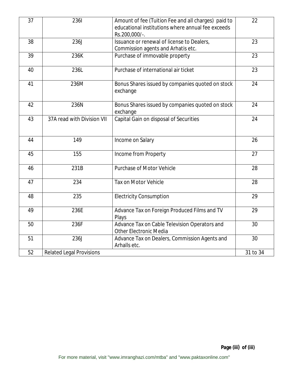| 37 | <b>2361</b>                     | Amount of fee (Tuition Fee and all charges) paid to<br>educational institutions where annual fee exceeds<br>Rs.200,000/-. | 22       |
|----|---------------------------------|---------------------------------------------------------------------------------------------------------------------------|----------|
| 38 | <b>236J</b>                     | Issuance or renewal of license to Dealers,<br>Commission agents and Arhatis etc.                                          | 23       |
| 39 | 236K                            | Purchase of immovable property                                                                                            | 23       |
| 40 | 236L                            | Purchase of international air ticket                                                                                      | 23       |
| 41 | 236M                            | Bonus Shares issued by companies quoted on stock<br>exchange                                                              | 24       |
| 42 | 236N                            | Bonus Shares issued by companies quoted on stock<br>exchange                                                              | 24       |
| 43 | 37A read with Division VII      | Capital Gain on disposal of Securities                                                                                    | 24       |
| 44 | 149                             | Income on Salary                                                                                                          | 26       |
| 45 | 155                             | Income from Property                                                                                                      | 27       |
| 46 | 231B                            | <b>Purchase of Motor Vehicle</b>                                                                                          | 28       |
| 47 | 234                             | <b>Tax on Motor Vehicle</b>                                                                                               | 28       |
| 48 | 235                             | <b>Electricity Consumption</b>                                                                                            | 29       |
| 49 | 236E                            | Advance Tax on Foreign Produced Films and TV<br>Plays                                                                     | 29       |
| 50 | 236F                            | Advance Tax on Cable Television Operators and<br><b>Other Electronic Media</b>                                            | 30       |
| 51 | 236J                            | Advance Tax on Dealers, Commission Agents and<br>Arhalls etc.                                                             | 30       |
| 52 | <b>Related Legal Provisions</b> |                                                                                                                           | 31 to 34 |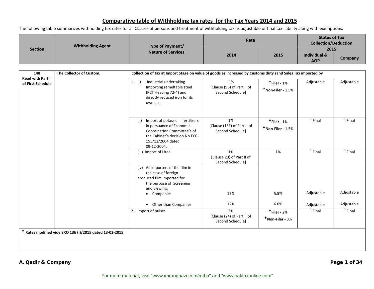The following table summarizes withholding tax rates for all Classes of persons and treatment of withholding tax as adjustable or final tax liability along with exemptions.

| <b>Section</b> | <b>Withholding Agent</b> | Type of Payment/<br><b>Nature of Services</b> | Rate |      | <b>Status of Tax</b><br><b>Collection/Deduction</b> |         |
|----------------|--------------------------|-----------------------------------------------|------|------|-----------------------------------------------------|---------|
|                |                          |                                               | 2014 |      | 2015                                                |         |
|                |                          |                                               |      | 2015 | <b>Individual &amp;</b>                             |         |
|                |                          |                                               |      |      | <b>AOP</b>                                          | Company |

| 148                                           | The Collector of Custom.                                | Collection of tax at Import Stage on value of goods as increased by Customs duty sand Sales Tax imported by                                                             |                                                       |                                     |            |            |  |
|-----------------------------------------------|---------------------------------------------------------|-------------------------------------------------------------------------------------------------------------------------------------------------------------------------|-------------------------------------------------------|-------------------------------------|------------|------------|--|
| <b>Read with Part II</b><br>of First Schedule |                                                         | Industrial undertaking<br>1. $(i)$<br>Importing remeltable steel<br>(PCT Heading 72-4) and<br>directly reduced iron for its<br>own use.                                 | 1%<br>[Clause (9B) of Part II of<br>Second Schedule]  | $*$ Filer - 1%<br>*Non-Filer - 1.5% | Adjustable | Adjustable |  |
|                                               |                                                         | Import of potassic fertilizers<br>(ii)<br>in pursuance of Economic<br>Coordination Committee's of<br>the Cabinet's decision No.ECC-<br>155/12/2004 dated<br>09-12-2004. | 1%<br>[Clause (13E) of Part II of<br>Second Schedule] | $*$ Filer - 1%<br>*Non-Filer - 1.5% | $1$ Final  | $1$ Final  |  |
|                                               |                                                         | (iii) Import of Urea                                                                                                                                                    | 1%<br>[Clause 23) of Part II of<br>Second Schedule]   | 1%                                  | $1$ Final  | $1$ Final  |  |
|                                               |                                                         | (iv) All importers of the film in<br>the case of foreign<br>produced film imported for<br>the purpose of Screening<br>and viewing:<br>Companies<br>$\bullet$            | 12%                                                   | 5.5%                                | Adjustable | Adjustable |  |
|                                               |                                                         | Other than Companies<br>$\bullet$                                                                                                                                       | 12%                                                   | 6.0%                                | Adjustable | Adjustable |  |
|                                               |                                                         | 2. Import of pulses                                                                                                                                                     | 2%<br>[Clause (24) of Part II of<br>Second Schedule]  | $*$ Filer - 2%<br>*Non-Filer - 3%   | $1$ Final  | $1$ Final  |  |
|                                               | * Rates modified vide SRO 136 (I)/2015 dated 13-02-2015 |                                                                                                                                                                         |                                                       |                                     |            |            |  |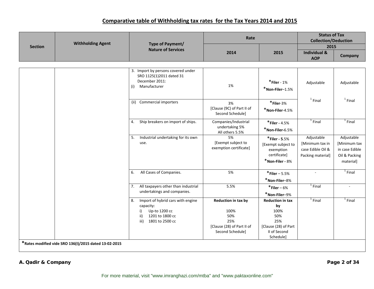|                | <b>Withholding Agent</b>                              |                                                                                                                                  | Rate                                                                                        |                                                                                                          | <b>Status of Tax</b><br><b>Collection/Deduction</b>                     |                                                                            |
|----------------|-------------------------------------------------------|----------------------------------------------------------------------------------------------------------------------------------|---------------------------------------------------------------------------------------------|----------------------------------------------------------------------------------------------------------|-------------------------------------------------------------------------|----------------------------------------------------------------------------|
| <b>Section</b> |                                                       | Type of Payment/<br><b>Nature of Services</b>                                                                                    |                                                                                             |                                                                                                          | 2015                                                                    |                                                                            |
|                |                                                       |                                                                                                                                  | 2014                                                                                        | 2015                                                                                                     | <b>Individual &amp;</b><br><b>AOP</b>                                   | Company                                                                    |
|                |                                                       |                                                                                                                                  |                                                                                             |                                                                                                          |                                                                         |                                                                            |
|                |                                                       | 3. Import by persons covered under<br>SRO 1125(1)2011 dated 31<br>December 2011:<br>Manufacturer<br>(i)                          | 1%                                                                                          | $*$ Filer - 1%<br>$*$ Non-Filer-1.5%                                                                     | Adjustable                                                              | Adjustable                                                                 |
|                |                                                       | (ii) Commercial importers                                                                                                        | 3%<br>[Clause (9C) of Part II of<br>Second Schedule]                                        | $*$ Filer-3%<br>$*$ Non-Filer-4.5%                                                                       | $1$ Final                                                               | $1$ Final                                                                  |
|                |                                                       | Ship breakers on import of ships.<br>4.                                                                                          | Companies/Industrial<br>undertaking 5%<br>All others 5.5%                                   | $*$ Filer - 4.5%<br>$*$ Non-Filer-6.5%                                                                   | $1$ Final                                                               | $1$ Final                                                                  |
|                |                                                       | Industrial undertaking for its own<br>5.<br>use.                                                                                 | 5%<br>[Exempt subject to<br>exemption certificate]                                          | $*$ Filer - 5.5%<br>[Exempt subject to<br>exemption<br>certificate]<br>$*$ Non-Filer - $8%$              | Adjustable<br>[Minimum tax in<br>case Edible Oil &<br>Packing material] | Adjustable<br>[Minimum tax<br>in case Edible<br>Oil & Packing<br>material] |
|                |                                                       | All Cases of Companies.<br>6.                                                                                                    | 5%                                                                                          | $*$ Filer – 5.5%<br>$*$ Non-Filer-8%                                                                     | $\sim$                                                                  | $1$ Final                                                                  |
|                |                                                       | All taxpayers other than industrial<br>7.<br>undertakings and companies.                                                         | 5.5%                                                                                        | $*$ Filer – 6%<br>$*$ Non-Filer-9%                                                                       | $1$ Final                                                               | ÷.                                                                         |
|                | *Rates modified vide SRO 136(I)/2015 dated 13-02-2015 | Import of hybrid cars with engine<br>8.<br>capacity:<br>Up-to 1200 cc<br>i)<br>1201 to 1800 cc<br>ii)<br>1801 to 2500 cc<br>iii) | Reduction in tax by<br>100%<br>50%<br>25%<br>[Clause (28) of Part II of<br>Second Schedule] | <b>Reduction in tax</b><br>by<br>100%<br>50%<br>25%<br>[Clause (28) of Part<br>II of Second<br>Schedule] | $1$ Final                                                               | $1$ Final                                                                  |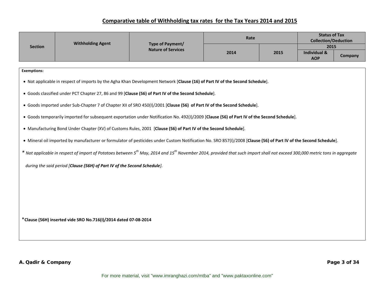|                                                                 |                                                                          |                                                                                                                                                                                              | Rate                      |      | <b>Status of Tax</b><br><b>Collection/Deduction</b> |         |  |
|-----------------------------------------------------------------|--------------------------------------------------------------------------|----------------------------------------------------------------------------------------------------------------------------------------------------------------------------------------------|---------------------------|------|-----------------------------------------------------|---------|--|
| <b>Section</b>                                                  | <b>Withholding Agent</b>                                                 | <b>Type of Payment/</b>                                                                                                                                                                      | <b>Nature of Services</b> |      | 2015                                                |         |  |
|                                                                 |                                                                          |                                                                                                                                                                                              | 2014                      | 2015 | <b>Individual &amp;</b><br><b>AOP</b>               | Company |  |
|                                                                 |                                                                          |                                                                                                                                                                                              |                           |      |                                                     |         |  |
| <b>Exemptions:</b>                                              |                                                                          |                                                                                                                                                                                              |                           |      |                                                     |         |  |
|                                                                 |                                                                          | . Not applicable in respect of imports by the Agha Khan Development Network [Clause (16) of Part IV of the Second Schedule].                                                                 |                           |      |                                                     |         |  |
|                                                                 |                                                                          | . Goods classified under PCT Chapter 27, 86 and 99 [Clause (56) of Part IV of the Second Schedule].                                                                                          |                           |      |                                                     |         |  |
|                                                                 |                                                                          | • Goods imported under Sub-Chapter 7 of Chapter XII of SRO 450(I)/2001 [Clause (56) of Part IV of the Second Schedule].                                                                      |                           |      |                                                     |         |  |
|                                                                 |                                                                          | . Goods temporarily imported for subsequent exportation under Notification No. 492(I)/2009 [Clause (56) of Part IV of the Second Schedule].                                                  |                           |      |                                                     |         |  |
|                                                                 |                                                                          | • Manufacturing Bond Under Chapter (XV) of Customs Rules, 2001 [Clause (56) of Part IV of the Second Schedule].                                                                              |                           |      |                                                     |         |  |
|                                                                 |                                                                          | . Mineral oil imported by manufacturer or formulator of pesticides under Custom Notification No. SRO 857(I)/2008 [Clause (56) of Part IV of the Second Schedule].                            |                           |      |                                                     |         |  |
|                                                                 |                                                                          | * Not applicable in respect of import of Potatoes between $5^{th}$ May, 2014 and 15 <sup>th</sup> November 2014, provided that such import shall not exceed 300,000 metric tons in aggregate |                           |      |                                                     |         |  |
|                                                                 | during the said period [Clause (56H) of Part IV of the Second Schedule]. |                                                                                                                                                                                              |                           |      |                                                     |         |  |
|                                                                 |                                                                          |                                                                                                                                                                                              |                           |      |                                                     |         |  |
|                                                                 |                                                                          |                                                                                                                                                                                              |                           |      |                                                     |         |  |
|                                                                 |                                                                          |                                                                                                                                                                                              |                           |      |                                                     |         |  |
|                                                                 |                                                                          |                                                                                                                                                                                              |                           |      |                                                     |         |  |
|                                                                 |                                                                          |                                                                                                                                                                                              |                           |      |                                                     |         |  |
| *Clause (56H) inserted vide SRO No.716(I)/2014 dated 07-08-2014 |                                                                          |                                                                                                                                                                                              |                           |      |                                                     |         |  |
|                                                                 |                                                                          |                                                                                                                                                                                              |                           |      |                                                     |         |  |
|                                                                 |                                                                          |                                                                                                                                                                                              |                           |      |                                                     |         |  |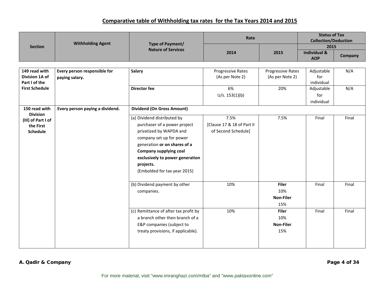|                                 | <b>Withholding Agent</b>        |                                                          | Rate                       |                   | <b>Status of Tax</b><br><b>Collection/Deduction</b> |         |
|---------------------------------|---------------------------------|----------------------------------------------------------|----------------------------|-------------------|-----------------------------------------------------|---------|
| <b>Section</b>                  |                                 | Type of Payment/<br><b>Nature of Services</b>            |                            |                   | 2015                                                |         |
|                                 |                                 |                                                          | 2014                       | 2015              | <b>Individual &amp;</b><br><b>AOP</b>               | Company |
|                                 |                                 |                                                          |                            |                   |                                                     |         |
| 149 read with                   | Every person responsible for    | <b>Salary</b>                                            | Progressive Rates          | Progressive Rates | Adjustable                                          | N/A     |
| Division 1A of<br>Part I of the | paying salary.                  |                                                          | (As per Note 2)            | (As per Note 2)   | for<br>individual                                   |         |
| <b>First Schedule</b>           |                                 | <b>Director fee</b>                                      | 6%                         | 20%               | Adjustable                                          | N/A     |
|                                 |                                 |                                                          | U/s. 153(1)(b)             |                   | for                                                 |         |
|                                 |                                 |                                                          |                            |                   | individual                                          |         |
| 150 read with                   | Every person paying a dividend. | <b>Dividend (On Gross Amount)</b>                        |                            |                   |                                                     |         |
| <b>Division</b>                 |                                 |                                                          |                            |                   |                                                     |         |
| (III) of Part I of              |                                 | (a) Dividend distributed by                              | 7.5%                       | 7.5%              | Final                                               | Final   |
| the First                       |                                 | purchaser of a power project                             | [Clause 17 & 18 of Part II |                   |                                                     |         |
| <b>Schedule</b>                 |                                 | privatized by WAPDA and                                  | of Second Schedule]        |                   |                                                     |         |
|                                 |                                 | company set up for power<br>generation or on shares of a |                            |                   |                                                     |         |
|                                 |                                 | <b>Company supplying coal</b>                            |                            |                   |                                                     |         |
|                                 |                                 | exclusively to power generation                          |                            |                   |                                                     |         |
|                                 |                                 | projects.                                                |                            |                   |                                                     |         |
|                                 |                                 | (Embolded for tax year 2015)                             |                            |                   |                                                     |         |
|                                 |                                 |                                                          |                            |                   |                                                     |         |
|                                 |                                 | (b) Dividend payment by other                            | 10%                        | <b>Filer</b>      | Final                                               | Final   |
|                                 |                                 | companies.                                               |                            | 10%               |                                                     |         |
|                                 |                                 |                                                          |                            | <b>Non-Filer</b>  |                                                     |         |
|                                 |                                 |                                                          |                            | 15%               |                                                     |         |
|                                 |                                 | (c) Remittance of after tax profit by                    | 10%                        | <b>Filer</b>      | Final                                               | Final   |
|                                 |                                 | a branch other then branch of a                          |                            | 10%               |                                                     |         |
|                                 |                                 | E&P companies (subject to                                |                            | <b>Non-Filer</b>  |                                                     |         |
|                                 |                                 | treaty provisions, if applicable).                       |                            | 15%               |                                                     |         |
|                                 |                                 |                                                          |                            |                   |                                                     |         |
|                                 |                                 |                                                          |                            |                   |                                                     |         |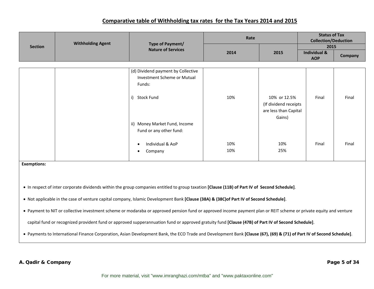|                    | <b>Withholding Agent</b> | Type of Payment/<br><b>Nature of Services</b>                                                                                                                         | Rate       |                       | <b>Status of Tax</b><br><b>Collection/Deduction</b> |         |
|--------------------|--------------------------|-----------------------------------------------------------------------------------------------------------------------------------------------------------------------|------------|-----------------------|-----------------------------------------------------|---------|
| <b>Section</b>     |                          |                                                                                                                                                                       |            |                       | 2015                                                |         |
|                    |                          |                                                                                                                                                                       | 2014       | 2015                  | <b>Individual &amp;</b><br><b>AOP</b>               | Company |
|                    |                          |                                                                                                                                                                       |            |                       |                                                     |         |
|                    |                          | (d) Dividend payment by Collective                                                                                                                                    |            |                       |                                                     |         |
|                    |                          | Investment Scheme or Mutual                                                                                                                                           |            |                       |                                                     |         |
|                    |                          | Funds:                                                                                                                                                                |            |                       |                                                     |         |
|                    |                          | i) Stock Fund                                                                                                                                                         | 10%        | 10% or 12.5%          | Final                                               | Final   |
|                    |                          |                                                                                                                                                                       |            | (If dividend receipts |                                                     |         |
|                    |                          |                                                                                                                                                                       |            | are less than Capital |                                                     |         |
|                    |                          |                                                                                                                                                                       |            | Gains)                |                                                     |         |
|                    |                          | ii) Money Market Fund, Income                                                                                                                                         |            |                       |                                                     |         |
|                    |                          | Fund or any other fund:                                                                                                                                               |            |                       |                                                     |         |
|                    |                          |                                                                                                                                                                       |            |                       |                                                     |         |
|                    |                          | Individual & AoP                                                                                                                                                      | 10%<br>10% | 10%<br>25%            | Final                                               | Final   |
|                    |                          | Company                                                                                                                                                               |            |                       |                                                     |         |
| <b>Exemptions:</b> |                          |                                                                                                                                                                       |            |                       |                                                     |         |
|                    |                          |                                                                                                                                                                       |            |                       |                                                     |         |
|                    |                          |                                                                                                                                                                       |            |                       |                                                     |         |
|                    |                          | • In respect of inter corporate dividends within the group companies entitled to group taxation [Clause (11B) of Part IV of Second Schedule].                         |            |                       |                                                     |         |
|                    |                          |                                                                                                                                                                       |            |                       |                                                     |         |
|                    |                          | . Not applicable in the case of venture capital company, Islamic Development Bank [Clause (38A) & (38C) of Part IV of Second Schedule].                               |            |                       |                                                     |         |
|                    |                          | • Payment to NIT or collective investment scheme or modaraba or approved pension fund or approved income payment plan or REIT scheme or private equity and venture    |            |                       |                                                     |         |
|                    |                          | capital fund or recognized provident fund or approved supperannuation fund or approved gratuity fund [Clause (47B) of Part IV of Second Schedule].                    |            |                       |                                                     |         |
|                    |                          | • Payments to International Finance Corporation, Asian Development Bank, the ECO Trade and Development Bank [Clause (67), (69) & (71) of Part IV of Second Schedule]. |            |                       |                                                     |         |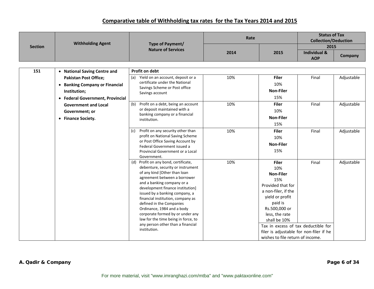|                | <b>Withholding Agent</b>         | Type of Payment/                                                | Rate |                                         | <b>Status of Tax</b><br><b>Collection/Deduction</b> |            |
|----------------|----------------------------------|-----------------------------------------------------------------|------|-----------------------------------------|-----------------------------------------------------|------------|
| <b>Section</b> |                                  | <b>Nature of Services</b>                                       |      |                                         | 2015                                                |            |
|                |                                  |                                                                 | 2014 | 2015                                    | <b>Individual &amp;</b><br><b>AOP</b>               | Company    |
|                |                                  |                                                                 |      |                                         |                                                     |            |
| 151            | • National Saving Centre and     | Profit on debt                                                  |      |                                         |                                                     |            |
|                | <b>Pakistan Post Office;</b>     | Yield on an account, deposit or a<br>(a)                        | 10%  | <b>Filer</b>                            | Final                                               | Adjustable |
|                | • Banking Company or Financial   | certificate under the National<br>Savings Scheme or Post office |      | 10%                                     |                                                     |            |
|                | Institution;                     | Savings account                                                 |      | <b>Non-Filer</b>                        |                                                     |            |
|                | • Federal Government, Provincial |                                                                 |      | 15%                                     |                                                     |            |
|                | <b>Government and Local</b>      | Profit on a debt, being an account<br>(b)                       | 10%  | <b>Filer</b>                            | Final                                               | Adjustable |
|                | Government; or                   | or deposit maintained with a                                    |      | 10%                                     |                                                     |            |
|                | • Finance Society.               | banking company or a financial<br>institution.                  |      | <b>Non-Filer</b>                        |                                                     |            |
|                |                                  |                                                                 |      | 15%                                     |                                                     |            |
|                |                                  | Profit on any security other than<br>(c)                        | 10%  | <b>Filer</b>                            | Final                                               | Adjustable |
|                |                                  | profit on National Saving Scheme                                |      | 10%                                     |                                                     |            |
|                |                                  | or Post Office Saving Account by                                |      | <b>Non-Filer</b>                        |                                                     |            |
|                |                                  | Federal Government issued a<br>Provincial Government or a Local |      | 15%                                     |                                                     |            |
|                |                                  | Government.                                                     |      |                                         |                                                     |            |
|                |                                  | (d) Profit on any bond, certificate,                            | 10%  | <b>Filer</b>                            | Final                                               | Adjustable |
|                |                                  | debenture, security or instrument                               |      | 10%                                     |                                                     |            |
|                |                                  | of any kind [Other than loan                                    |      | <b>Non-Filer</b>                        |                                                     |            |
|                |                                  | agreement between a borrower<br>and a banking company or a      |      | 15%                                     |                                                     |            |
|                |                                  | development finance institution]                                |      | Provided that for                       |                                                     |            |
|                |                                  | issued by a banking company, a                                  |      | a non-filer, if the                     |                                                     |            |
|                |                                  | financial institution, company as                               |      | yield or profit                         |                                                     |            |
|                |                                  | defined in the Companies                                        |      | paid is                                 |                                                     |            |
|                |                                  | Ordinance, 1984 and a body<br>corporate formed by or under any  |      | Rs.500,000 or<br>less, the rate         |                                                     |            |
|                |                                  | law for the time being in force, to                             |      | shall be 10%                            |                                                     |            |
|                |                                  | any person other than a financial                               |      | Tax in excess of tax deductible for     |                                                     |            |
|                |                                  | institution.                                                    |      | filer is adjustable for non-filer if he |                                                     |            |
|                |                                  |                                                                 |      | wishes to file return of income.        |                                                     |            |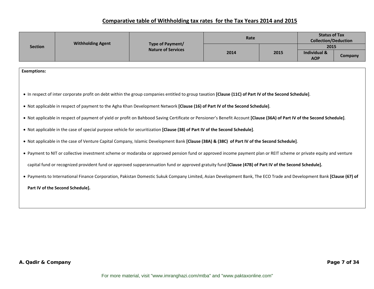|                    | <b>Withholding Agent</b><br>Type of Payment/ | Rate                                                                                                                                                                     |      | <b>Status of Tax</b><br><b>Collection/Deduction</b> |                                       |         |
|--------------------|----------------------------------------------|--------------------------------------------------------------------------------------------------------------------------------------------------------------------------|------|-----------------------------------------------------|---------------------------------------|---------|
| <b>Section</b>     |                                              | <b>Nature of Services</b>                                                                                                                                                |      |                                                     | 2015                                  |         |
|                    |                                              |                                                                                                                                                                          | 2014 | 2015                                                | <b>Individual &amp;</b><br><b>AOP</b> | Company |
|                    |                                              |                                                                                                                                                                          |      |                                                     |                                       |         |
| <b>Exemptions:</b> |                                              |                                                                                                                                                                          |      |                                                     |                                       |         |
|                    |                                              |                                                                                                                                                                          |      |                                                     |                                       |         |
|                    |                                              |                                                                                                                                                                          |      |                                                     |                                       |         |
|                    |                                              | • In respect of inter corporate profit on debt within the group companies entitled to group taxation [Clause (11C) of Part IV of the Second Schedule].                   |      |                                                     |                                       |         |
|                    |                                              | • Not applicable in respect of payment to the Agha Khan Development Network [Clause (16) of Part IV of the Second Schedule].                                             |      |                                                     |                                       |         |
|                    |                                              |                                                                                                                                                                          |      |                                                     |                                       |         |
|                    |                                              | . Not applicable in respect of payment of yield or profit on Bahbood Saving Certificate or Pensioner's Benefit Account [Clause (36A) of Part IV of the Second Schedule]. |      |                                                     |                                       |         |
|                    |                                              | . Not applicable in the case of special purpose vehicle for securitization [Clause (38) of Part IV of the Second Schedule].                                              |      |                                                     |                                       |         |
|                    |                                              | . Not applicable in the case of Venture Capital Company, Islamic Development Bank [Clause (38A) & (38C) of Part IV of the Second Schedule].                              |      |                                                     |                                       |         |
|                    |                                              |                                                                                                                                                                          |      |                                                     |                                       |         |
|                    |                                              | • Payment to NIT or collective investment scheme or modaraba or approved pension fund or approved income payment plan or REIT scheme or private equity and venture       |      |                                                     |                                       |         |
|                    |                                              | capital fund or recognized provident fund or approved supperannuation fund or approved gratuity fund [Clause (47B) of Part IV of the Second Schedule].                   |      |                                                     |                                       |         |
|                    |                                              |                                                                                                                                                                          |      |                                                     |                                       |         |
|                    |                                              | . Payments to International Finance Corporation, Pakistan Domestic Sukuk Company Limited, Asian Development Bank, The ECO Trade and Development Bank [Clause (67) of     |      |                                                     |                                       |         |
|                    | Part IV of the Second Schedule].             |                                                                                                                                                                          |      |                                                     |                                       |         |
|                    |                                              |                                                                                                                                                                          |      |                                                     |                                       |         |
|                    |                                              |                                                                                                                                                                          |      |                                                     |                                       |         |
|                    |                                              |                                                                                                                                                                          |      |                                                     |                                       |         |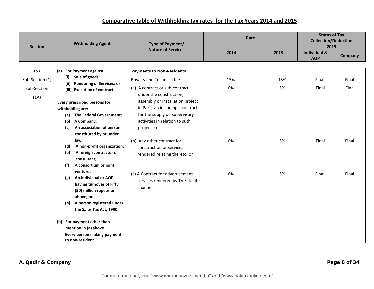|                 | <b>Withholding Agent</b> |                                                    | Type of Payment/                  | Rate |      | <b>Status of Tax</b><br><b>Collection/Deduction</b> |         |
|-----------------|--------------------------|----------------------------------------------------|-----------------------------------|------|------|-----------------------------------------------------|---------|
| <b>Section</b>  |                          |                                                    | <b>Nature of Services</b>         |      |      | 2015                                                |         |
|                 |                          |                                                    |                                   | 2014 | 2015 | <b>Individual &amp;</b><br><b>AOP</b>               | Company |
|                 |                          |                                                    |                                   |      |      |                                                     |         |
| 152             | (a)                      | <b>For Payment against</b>                         | <b>Payments to Non-Residents</b>  |      |      |                                                     |         |
| Sub-Section (1) | (i)<br>(ii)              | Sale of goods;<br><b>Rendering of Services; or</b> | Royalty and Technical fee         | 15%  | 15%  | Final                                               | Final   |
| Sub-Section     |                          | (iii) Execution of contract.                       | (a) A contract or sub-contract    | 6%   | 6%   | Final                                               | Final   |
| (1A)            |                          |                                                    | under the construction,           |      |      |                                                     |         |
|                 |                          | Every prescribed persons for                       | assembly or installation project  |      |      |                                                     |         |
|                 |                          | withholding are:                                   | in Pakistan including a contract  |      |      |                                                     |         |
|                 | (a)                      | The Federal Government;                            | for the supply of supervisory     |      |      |                                                     |         |
|                 | (b)                      | A Company;                                         | activities in relation to such    |      |      |                                                     |         |
|                 | (c)                      | An association of person                           | projects; or                      |      |      |                                                     |         |
|                 |                          | constituted by or under                            |                                   |      |      |                                                     |         |
|                 |                          | law;                                               | (b) Any other contract for        | 6%   | 6%   | Final                                               | Final   |
|                 | (d)                      | A non-profit organization;                         | construction or services          |      |      |                                                     |         |
|                 | (e)                      | A foreign contractor or<br>consultant;             | rendered relating thereto; or     |      |      |                                                     |         |
|                 | (f)                      | A consortium or joint                              |                                   |      |      |                                                     |         |
|                 |                          | venture;                                           | (c) A Contract for advertisement  | 6%   | 6%   | Final                                               | Final   |
|                 | (g)                      | An Individual or AOP                               | services rendered by TV Satellite |      |      |                                                     |         |
|                 |                          | having turnover of Fifty                           | channel.                          |      |      |                                                     |         |
|                 |                          | (50) million rupees or<br>above; or                |                                   |      |      |                                                     |         |
|                 | (h)                      | A person registered under                          |                                   |      |      |                                                     |         |
|                 |                          | the Sales Tax Act, 1990.                           |                                   |      |      |                                                     |         |
|                 |                          |                                                    |                                   |      |      |                                                     |         |
|                 |                          | (b) For payment other than                         |                                   |      |      |                                                     |         |
|                 |                          | mention in (a) above                               |                                   |      |      |                                                     |         |
|                 |                          | Every person making payment                        |                                   |      |      |                                                     |         |
|                 |                          | to non-resident.                                   |                                   |      |      |                                                     |         |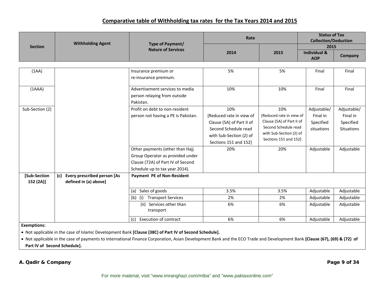|                           | <b>Withholding Agent</b>                                 | Type of Payment/                       | Rate                      |                           | <b>Status of Tax</b><br><b>Collection/Deduction</b> |                   |
|---------------------------|----------------------------------------------------------|----------------------------------------|---------------------------|---------------------------|-----------------------------------------------------|-------------------|
| <b>Section</b>            |                                                          | <b>Nature of Services</b>              |                           |                           | 2015                                                |                   |
|                           |                                                          |                                        | 2014                      | 2015                      | <b>Individual &amp;</b><br><b>AOP</b>               | Company           |
|                           |                                                          |                                        |                           |                           |                                                     |                   |
| (1AA)                     |                                                          | Insurance premium or                   | 5%                        | 5%                        | Final                                               | Final             |
|                           |                                                          | re-insurance premium.                  |                           |                           |                                                     |                   |
| (1AAA)                    |                                                          | Advertisement services to media        | 10%                       | 10%                       | Final                                               | Final             |
|                           |                                                          | person relaying from outside           |                           |                           |                                                     |                   |
|                           |                                                          | Pakistan.                              |                           |                           |                                                     |                   |
| Sub-Section (2)           |                                                          | Profit on debt to non-resident         | 10%                       | 10%                       | Adjustable/                                         | Adjustable/       |
|                           |                                                          | person not having a PE is Pakistan.    | [Reduced rate in view of  | [Reduced rate in view of  | Final in                                            | Final in          |
|                           |                                                          |                                        | Clause (5A) of Part II of | Clause (5A) of Part II of | Specified                                           | Specified         |
|                           |                                                          |                                        | Second Schedule read      | Second Schedule read      | situations                                          | <b>Situations</b> |
|                           |                                                          |                                        | with Sub-Section (2) of   | with Sub-Section (2) of   |                                                     |                   |
|                           |                                                          |                                        | Sections 151 and 152]     | Sections 151 and 152]     |                                                     |                   |
|                           |                                                          | Other payments (other than Hajj        | 20%                       | 20%                       | Adjustable                                          | Adjustable        |
|                           |                                                          | Group Operator as provided under       |                           |                           |                                                     |                   |
|                           |                                                          | Clause (72A) of Part IV of Second      |                           |                           |                                                     |                   |
|                           |                                                          | Schedule up to tax year 2014).         |                           |                           |                                                     |                   |
| [Sub-Section<br>152 (2A)] | (c) Every prescribed person [As<br>defined in (a) above] | Payment PE of Non-Resident             |                           |                           |                                                     |                   |
|                           |                                                          | Sales of goods<br>(a)                  | 3.5%                      | 3.5%                      | Adjustable                                          | Adjustable        |
|                           |                                                          | $(b)$ (i)<br><b>Transport Services</b> | 2%                        | 2%                        | Adjustable                                          | Adjustable        |
|                           |                                                          | (ii) Services other than<br>transport  | 6%                        | 6%                        | Adjustable                                          | Adjustable        |
|                           |                                                          | <b>Execution of contract</b><br>(c)    | 6%                        | 6%                        | Adjustable                                          | Adjustable        |
| <b>Exemptions:</b>        |                                                          |                                        |                           |                           |                                                     |                   |

• Not applicable in the case of Islamic Development Bank **[Clause (38C) of Part IV of Second Schedule].**

• Not applicable in the case of payments to International Finance Corporation, Asian Development Bank and the ECO Trade and Development Bank **[Clause (67), (69) & (72) of Part IV of Second Schedule].**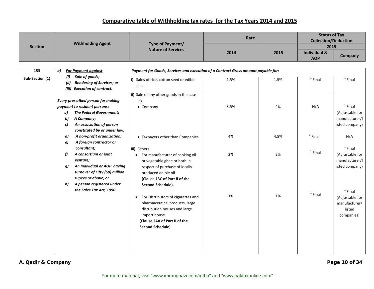|                 | <b>Withholding Agent</b>                                                                                                                                                                                                 | Type of Payment/                                                                                                                                                                                | Rate |      | <b>Status of Tax</b><br><b>Collection/Deduction</b> |                                                                       |
|-----------------|--------------------------------------------------------------------------------------------------------------------------------------------------------------------------------------------------------------------------|-------------------------------------------------------------------------------------------------------------------------------------------------------------------------------------------------|------|------|-----------------------------------------------------|-----------------------------------------------------------------------|
| <b>Section</b>  |                                                                                                                                                                                                                          | <b>Nature of Services</b>                                                                                                                                                                       | 2014 | 2015 | 2015<br><b>Individual &amp;</b>                     |                                                                       |
|                 |                                                                                                                                                                                                                          |                                                                                                                                                                                                 |      |      | <b>AOP</b>                                          | Company                                                               |
|                 |                                                                                                                                                                                                                          |                                                                                                                                                                                                 |      |      |                                                     |                                                                       |
| 153             | a)<br><b>For Payment against</b><br>Sale of goods;                                                                                                                                                                       | Payment for Goods, Services and execution of a Contract Gross amount payable for:                                                                                                               |      |      |                                                     |                                                                       |
| Sub-Section (1) | (i)<br><b>Rendering of Services; or</b><br>(ii)<br>(iii) Execution of contract.                                                                                                                                          | i) Sales of rice, cotton seed or edible<br>oils.                                                                                                                                                | 1.5% | 1.5% | $1$ Final                                           | $1$ Final                                                             |
|                 |                                                                                                                                                                                                                          | ii) Sale of any other goods in the case                                                                                                                                                         |      |      |                                                     |                                                                       |
|                 | <b>Every prescribed person for making</b>                                                                                                                                                                                | of:                                                                                                                                                                                             |      |      |                                                     |                                                                       |
|                 | payment to resident persons:<br>The Federal Government;<br>a)<br>A Company;<br>b)<br>An association of person<br>c)<br>constituted by or under law;                                                                      | • Company                                                                                                                                                                                       | 3.5% | 4%   | N/A                                                 | $1$ Final<br>(Adjustable for<br>manufacturer/I<br>isted company)      |
|                 | A non-profit organization;<br>d)                                                                                                                                                                                         | • Taxpayers other than Companies                                                                                                                                                                | 4%   | 4.5% | $1$ Final                                           | N/A                                                                   |
|                 | A foreign contractor or<br>e)<br>consultant;<br>A consortium or joint<br>f)<br>venture;<br>An Individual or AOP having<br>g)<br>turnover of Fifty (50) million<br>rupees or above; or<br>A person registered under<br>h) | iii) Others<br>• For manufacturer of cooking oil<br>or vegetable ghee or both in<br>respect of purchase of locally<br>produced edible oil<br>(Clause 13C of Part II of the<br>Second Schedule). | 2%   | 2%   | $1$ Final                                           | $1$ Final<br>(Adjustable for<br>manufacturer/I<br>isted company)      |
|                 | the Sales Tax Act, 1990.                                                                                                                                                                                                 | For Distributors of cigarettes and<br>$\bullet$<br>pharmaceutical products, large<br>distribution houses and large<br>import house<br>(Clause 24A of Part II of the<br>Second Schedule).        | 1%   | 1%   | $1$ Final                                           | $1$ Final<br>(Adjustable for<br>manufacturer/<br>listed<br>companies) |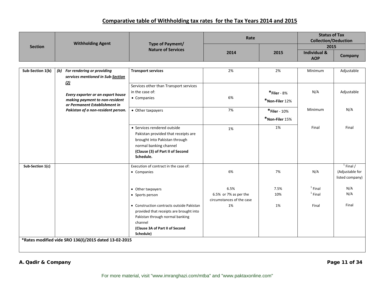|                  | <b>Withholding Agent</b>                                                                              | Type of Payment/                          | Rate                      |                | <b>Status of Tax</b><br><b>Collection/Deduction</b> |                 |
|------------------|-------------------------------------------------------------------------------------------------------|-------------------------------------------|---------------------------|----------------|-----------------------------------------------------|-----------------|
| <b>Section</b>   |                                                                                                       | <b>Nature of Services</b>                 |                           |                | 2015                                                |                 |
|                  |                                                                                                       |                                           | 2014                      | 2015           | <b>Individual &amp;</b><br><b>AOP</b>               | Company         |
|                  |                                                                                                       |                                           |                           |                |                                                     |                 |
| Sub-Section 1(b) | (b) For rendering or providing                                                                        | <b>Transport services</b>                 | 2%                        | 2%             | Minimum                                             | Adjustable      |
|                  | services mentioned in Sub-Section                                                                     |                                           |                           |                |                                                     |                 |
|                  | (2)                                                                                                   |                                           |                           |                |                                                     |                 |
|                  |                                                                                                       | Services other than Transport services    |                           |                |                                                     |                 |
|                  | Every exporter or an export house                                                                     | in the case of:                           |                           | $*$ Filer - 8% | N/A                                                 | Adjustable      |
|                  | making payment to non-resident<br>or Permanent Establishment in<br>Pakistan of a non-resident person. | • Companies                               | 6%                        | *Non-Filer 12% |                                                     |                 |
|                  |                                                                                                       | • Other taxpayers                         | 7%                        | *Filer - 10%   | Minimum                                             | N/A             |
|                  |                                                                                                       |                                           |                           | *Non-Filer 15% |                                                     |                 |
|                  |                                                                                                       | • Services rendered outside               | 1%                        | 1%             | Final                                               | Final           |
|                  |                                                                                                       | Pakistan provided that receipts are       |                           |                |                                                     |                 |
|                  |                                                                                                       | brought into Pakistan through             |                           |                |                                                     |                 |
|                  |                                                                                                       | normal banking channel                    |                           |                |                                                     |                 |
|                  |                                                                                                       | (Clause (3) of Part II of Second          |                           |                |                                                     |                 |
|                  |                                                                                                       | Schedule.                                 |                           |                |                                                     |                 |
| Sub-Section 1(c) |                                                                                                       | Execution of contract in the case of:     |                           |                |                                                     | $1$ Final $/$   |
|                  |                                                                                                       | • Companies                               | 6%                        | 7%             | N/A                                                 | (Adjustable for |
|                  |                                                                                                       |                                           |                           |                |                                                     | listed company) |
|                  |                                                                                                       | • Other taxpayers                         | 6.5%                      | 7.5%           | $1$ Final                                           | N/A             |
|                  |                                                                                                       | • Sports person                           | 6.5% or 7% as per the     | 10%            | $1$ Final                                           | N/A             |
|                  |                                                                                                       |                                           | circumstances of the case |                |                                                     |                 |
|                  |                                                                                                       | • Construction contracts outside Pakistan | 1%                        | 1%             | Final                                               | Final           |
|                  |                                                                                                       | provided that receipts are brought into   |                           |                |                                                     |                 |
|                  |                                                                                                       | Pakistan through normal banking           |                           |                |                                                     |                 |
|                  |                                                                                                       | channel                                   |                           |                |                                                     |                 |
|                  |                                                                                                       | (Clause 3A of Part II of Second           |                           |                |                                                     |                 |
|                  |                                                                                                       | Schedule)                                 |                           |                |                                                     |                 |
|                  | *Rates modified vide SRO 136(I)/2015 dated 13-02-2015                                                 |                                           |                           |                |                                                     |                 |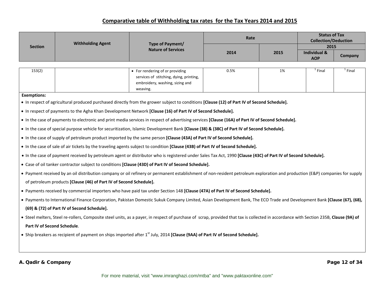|                             | <b>Withholding Agent</b>                                           | Type of Payment/                                                                                                                                                                      | Rate |      | <b>Status of Tax</b><br><b>Collection/Deduction</b> |               |
|-----------------------------|--------------------------------------------------------------------|---------------------------------------------------------------------------------------------------------------------------------------------------------------------------------------|------|------|-----------------------------------------------------|---------------|
| <b>Section</b>              |                                                                    | <b>Nature of Services</b>                                                                                                                                                             | 2014 |      | 2015                                                |               |
|                             |                                                                    |                                                                                                                                                                                       |      | 2015 | <b>Individual &amp;</b><br><b>AOP</b>               | Company       |
| 153(2)                      |                                                                    |                                                                                                                                                                                       | 0.5% | 1%   | $1$ Final                                           | $1$ Final     |
|                             |                                                                    | • For rendering of or providing<br>services of stitching, dying, printing,                                                                                                            |      |      |                                                     |               |
|                             |                                                                    | embroidery, washing, sizing and                                                                                                                                                       |      |      |                                                     |               |
|                             |                                                                    | weaving.                                                                                                                                                                              |      |      |                                                     |               |
| <b>Exemptions:</b>          |                                                                    | • In respect of agricultural produced purchased directly from the grower subject to conditions [Clause (12) of Part IV of Second Schedule].                                           |      |      |                                                     |               |
|                             |                                                                    |                                                                                                                                                                                       |      |      |                                                     |               |
|                             |                                                                    | • In respect of payments to the Agha Khan Development Network [Clause (16) of Part IV of Second Schedule].                                                                            |      |      |                                                     |               |
|                             |                                                                    | • In the case of payments to electronic and print media services in respect of advertising services [Clause (16A) of Part IV of Second Schedule].                                     |      |      |                                                     |               |
|                             |                                                                    | • In the case of special purpose vehicle for securitization, Islamic Development Bank [Clause (38) & (38C) of Part IV of Second Schedule].                                            |      |      |                                                     |               |
|                             |                                                                    | • In the case of supply of petroleum product imported by the same person [Clause (43A) of Part IV of Second Schedule].                                                                |      |      |                                                     |               |
|                             |                                                                    | • In the case of sale of air tickets by the traveling agents subject to condition [Clause (43B) of Part IV of Second Schedule].                                                       |      |      |                                                     |               |
|                             |                                                                    | • In the case of payment received by petroleum agent or distributor who is registered under Sales Tax Act, 1990 [Clause (43C) of Part IV of Second Schedule].                         |      |      |                                                     |               |
|                             |                                                                    | • Case of oil tanker contractor subject to conditions [Clause (43D) of Part IV of Second Schedule].                                                                                   |      |      |                                                     |               |
|                             |                                                                    | • Payment received by an oil distribution company or oil refinery or permanent establishment of non-resident petroleum exploration and production (E&P) companies for supply          |      |      |                                                     |               |
|                             | of petroleum products [Clause (46) of Part IV of Second Schedule]. |                                                                                                                                                                                       |      |      |                                                     |               |
|                             |                                                                    | . Payments received by commercial importers who have paid tax under Section 148 [Clause (47A) of Part IV of Second Schedule].                                                         |      |      |                                                     |               |
|                             |                                                                    | • Payments to International Finance Corporation, Pakistan Domestic Sukuk Company Limited, Asian Development Bank, The ECO Trade and Development Bank [Clause (67), (68),              |      |      |                                                     |               |
|                             | (69) & (72) of Part IV of Second Schedule].                        |                                                                                                                                                                                       |      |      |                                                     |               |
|                             |                                                                    | • Steel melters, Steel re-rollers, Composite steel units, as a payer, in respect of purchase of scrap, provided that tax is collected in accordance with Section 235B, Clause (9A) of |      |      |                                                     |               |
| Part IV of Second Schedule. |                                                                    |                                                                                                                                                                                       |      |      |                                                     |               |
|                             |                                                                    | • Ship breakers as recipient of payment on ships imported after 1 <sup>st</sup> July, 2014 [Clause (9AA) of Part IV of Second Schedule].                                              |      |      |                                                     |               |
|                             |                                                                    |                                                                                                                                                                                       |      |      |                                                     |               |
|                             |                                                                    |                                                                                                                                                                                       |      |      |                                                     |               |
| A. Qadir & Company          |                                                                    |                                                                                                                                                                                       |      |      |                                                     | Page 12 of 34 |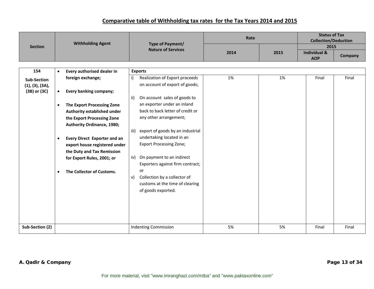|                    | <b>Withholding Agent</b> |                                   | Type of Payment/                      | Rate |      | <b>Status of Tax</b><br><b>Collection/Deduction</b> |         |
|--------------------|--------------------------|-----------------------------------|---------------------------------------|------|------|-----------------------------------------------------|---------|
| <b>Section</b>     |                          |                                   | <b>Nature of Services</b>             |      |      | 2015                                                |         |
|                    |                          |                                   |                                       | 2014 | 2015 | <b>Individual &amp;</b><br><b>AOP</b>               | Company |
|                    |                          |                                   |                                       |      |      |                                                     |         |
| 154                | $\bullet$                | Every authorised dealer in        | <b>Exports</b>                        |      |      |                                                     |         |
| <b>Sub-Section</b> |                          | foreign exchange;                 | Realization of Export proceeds<br>i)  | 1%   | 1%   | Final                                               | Final   |
| (1), (3), (3A),    |                          |                                   | on account of export of goods;        |      |      |                                                     |         |
| (3B) or (3C)       | $\bullet$                | Every banking company;            |                                       |      |      |                                                     |         |
|                    |                          |                                   | On account sales of goods to<br>ii)   |      |      |                                                     |         |
|                    | $\bullet$                | The Export Processing Zone        | an exporter under an inland           |      |      |                                                     |         |
|                    |                          | Authority established under       | back to back letter of credit or      |      |      |                                                     |         |
|                    |                          | the Export Processing Zone        | any other arrangement;                |      |      |                                                     |         |
|                    |                          | <b>Authority Ordinance, 1980;</b> |                                       |      |      |                                                     |         |
|                    |                          |                                   | iii) export of goods by an industrial |      |      |                                                     |         |
|                    | $\bullet$                | Every Direct Exporter and an      | undertaking located in an             |      |      |                                                     |         |
|                    |                          | export house registered under     | <b>Export Processing Zone;</b>        |      |      |                                                     |         |
|                    |                          | the Duty and Tax Remission        |                                       |      |      |                                                     |         |
|                    |                          | for Export Rules, 2001; or        | iv) On payment to an indirect         |      |      |                                                     |         |
|                    |                          |                                   | Exporters against firm contract;      |      |      |                                                     |         |
|                    | $\bullet$                | The Collector of Customs.         | or                                    |      |      |                                                     |         |
|                    |                          |                                   | Collection by a collector of<br>v)    |      |      |                                                     |         |
|                    |                          |                                   | customs at the time of clearing       |      |      |                                                     |         |
|                    |                          |                                   | of goods exported.                    |      |      |                                                     |         |
|                    |                          |                                   |                                       |      |      |                                                     |         |
|                    |                          |                                   |                                       |      |      |                                                     |         |
|                    |                          |                                   |                                       |      |      |                                                     |         |
|                    |                          |                                   |                                       |      |      |                                                     |         |
|                    |                          |                                   |                                       |      |      |                                                     |         |
| Sub-Section (2)    |                          |                                   | <b>Indenting Commission</b>           | 5%   | 5%   | Final                                               | Final   |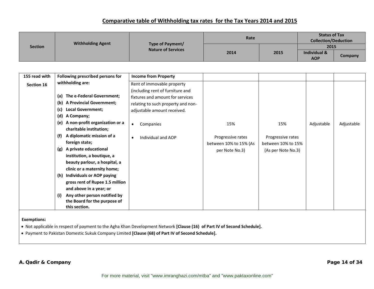|                | <b>Withholding Agent</b> |                                               | Rate |      | <b>Status of Tax</b><br><b>Collection/Deduction</b> |                |
|----------------|--------------------------|-----------------------------------------------|------|------|-----------------------------------------------------|----------------|
| <b>Section</b> |                          | Type of Payment/<br><b>Nature of Services</b> |      |      | 2015                                                |                |
|                |                          |                                               | 2014 | 2015 | <b>Individual &amp;</b>                             |                |
|                |                          |                                               |      |      | <b>AOP</b>                                          | <b>Company</b> |

| 155 read with | Following prescribed persons for       | <b>Income from Property</b>        |                        |                    |            |            |
|---------------|----------------------------------------|------------------------------------|------------------------|--------------------|------------|------------|
| Section 16    | withholding are:                       | Rent of immovable property         |                        |                    |            |            |
|               |                                        | (including rent of furniture and   |                        |                    |            |            |
|               | The e-Federal Government;<br>(a)       | fixtures and amount for services   |                        |                    |            |            |
|               | <b>A Provincial Government;</b><br>(b) | relating to such property and non- |                        |                    |            |            |
|               | <b>Local Government;</b><br>(c)        | adjustable amount received.        |                        |                    |            |            |
|               | (d)<br>A Company;                      |                                    |                        |                    |            |            |
|               | (e) A non-profit organization or a     | Companies<br>$\bullet$             | 15%                    | 15%                | Adjustable | Adjustable |
|               | charitable institution;                |                                    |                        |                    |            |            |
|               | A diplomatic mission of a<br>(f)       | Individual and AOP<br>$\bullet$    | Progressive rates      | Progressive rates  |            |            |
|               | foreign state;                         |                                    | between 10% to 15% (As | between 10% to 15% |            |            |
|               | A private educational<br>(g)           |                                    | per Note No.3)         | (As per Note No.3) |            |            |
|               | institution, a boutique, a             |                                    |                        |                    |            |            |
|               | beauty parlour, a hospital, a          |                                    |                        |                    |            |            |
|               | clinic or a maternity home;            |                                    |                        |                    |            |            |
|               | (h) Individuals or AOP paying          |                                    |                        |                    |            |            |
|               | gross rent of Rupee 1.5 million        |                                    |                        |                    |            |            |
|               | and above in a year; or                |                                    |                        |                    |            |            |
|               | Any other person notified by<br>(i)    |                                    |                        |                    |            |            |
|               | the Board for the purpose of           |                                    |                        |                    |            |            |
|               | this section.                          |                                    |                        |                    |            |            |

#### **Exemptions:**

• Not applicable in respect of payment to the Agha Khan Development Network **[Clause (16) of Part IV of Second Schedule].**

• Payment to Pakistan Domestic Sukuk Company Limited **[Clause (68) of Part IV of Second Schedule].**

#### **A. Qadir & Company Page 14 of 34**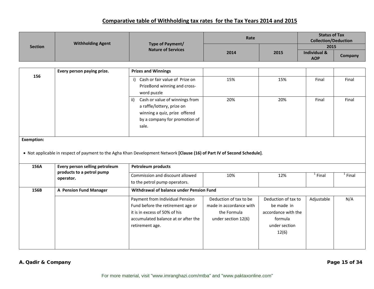|                | <b>Withholding Agent</b> |                                               | Rate |      | <b>Status of Tax</b><br><b>Collection/Deduction</b> |                |
|----------------|--------------------------|-----------------------------------------------|------|------|-----------------------------------------------------|----------------|
| <b>Section</b> |                          | Type of Payment/<br><b>Nature of Services</b> |      |      | 2015                                                |                |
|                |                          |                                               | 2014 | 2015 | Individual &<br><b>AOP</b>                          | <b>Company</b> |

|                   | Every person paying prize.     | <b>Prizes and Winnings</b>                                                                                                                            |                         |                     |            |           |
|-------------------|--------------------------------|-------------------------------------------------------------------------------------------------------------------------------------------------------|-------------------------|---------------------|------------|-----------|
| 156               |                                | i) Cash or fair value of Prize on                                                                                                                     | 15%                     | 15%                 | Final      | Final     |
|                   |                                | PrizeBond winning and cross-                                                                                                                          |                         |                     |            |           |
|                   |                                | word puzzle                                                                                                                                           |                         |                     |            |           |
|                   |                                | Cash or value of winnings from<br>ii)                                                                                                                 | 20%                     | 20%                 | Final      | Final     |
|                   |                                | a raffle/lottery, prize on                                                                                                                            |                         |                     |            |           |
|                   |                                | winning a quiz, prize offered                                                                                                                         |                         |                     |            |           |
|                   |                                | by a company for promotion of                                                                                                                         |                         |                     |            |           |
|                   |                                | sale.                                                                                                                                                 |                         |                     |            |           |
|                   |                                |                                                                                                                                                       |                         |                     |            |           |
| <b>Exemption:</b> |                                |                                                                                                                                                       |                         |                     |            |           |
|                   |                                |                                                                                                                                                       |                         |                     |            |           |
| 156A              | Every person selling petroleum | . Not applicable in respect of payment to the Agha Khan Development Network [Clause (16) of Part IV of Second Schedule].<br><b>Petroleum products</b> |                         |                     |            |           |
|                   | products to a petrol pump      | Commission and discount allowed                                                                                                                       | 10%                     | 12%                 | $1$ Final  | $1$ Final |
|                   | operator.                      | to the petrol pump operators.                                                                                                                         |                         |                     |            |           |
| 156B              | A Pension Fund Manager         | Withdrawal of balance under Pension Fund                                                                                                              |                         |                     |            |           |
|                   |                                | Payment from Individual Pension                                                                                                                       | Deduction of tax to be  | Deduction of tax to | Adjustable | N/A       |
|                   |                                | Fund before the retirement age or                                                                                                                     | made in accordance with | be made in          |            |           |
|                   |                                | it is in excess of 50% of his                                                                                                                         | the Formula             | accordance with the |            |           |
|                   |                                | accumulated balance at or after the                                                                                                                   | under section 12(6)     | formula             |            |           |
|                   |                                | retirement age.                                                                                                                                       |                         | under section       |            |           |
|                   |                                |                                                                                                                                                       |                         | 12(6)               |            |           |
|                   |                                |                                                                                                                                                       |                         |                     |            |           |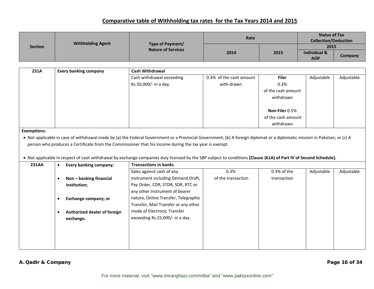|                | <b>Withholding Agent</b> |                                               | Rate |      | <b>Status of Tax</b><br><b>Collection/Deduction</b> |         |
|----------------|--------------------------|-----------------------------------------------|------|------|-----------------------------------------------------|---------|
| <b>Section</b> |                          | Type of Payment/<br><b>Nature of Services</b> |      |      | 2015                                                |         |
|                |                          |                                               | 2014 | 2015 | Individual &                                        |         |
|                |                          |                                               |      |      | <b>AOP</b>                                          | Company |

| 231A | <b>Every banking company</b> | <b>Cash Withdrawal</b>    |                         |                    |            |            |  |  |  |
|------|------------------------------|---------------------------|-------------------------|--------------------|------------|------------|--|--|--|
|      |                              | Cash withdrawal exceeding | 0.3% of the cash amount | <b>Filer</b>       | Adjustable | Adjustable |  |  |  |
|      |                              | Rs.50,000/- in a day.     | with-drawn              | 0.3%               |            |            |  |  |  |
|      |                              |                           |                         | of the cash amount |            |            |  |  |  |
|      |                              |                           |                         | withdrawn          |            |            |  |  |  |
|      |                              |                           |                         |                    |            |            |  |  |  |
|      |                              |                           |                         | Non-Filer 0.5%     |            |            |  |  |  |
|      |                              |                           |                         | of the cash amount |            |            |  |  |  |
|      |                              |                           |                         | withdrawn          |            |            |  |  |  |

**Exemptions:**

• Not applicable in case of withdrawal made by (a) the Federal Government or <sup>a</sup> Provincial Government; (b) A foreign diplomat or <sup>a</sup> diplomatic mission in Pakistan; or (c) A person who produces <sup>a</sup> Certificate from the Commissioner that his income during the tax year is exempt.

#### • Not applicable in respect of cash withdrawal by exchange companies duly licensed by the SBP subject to conditions **[Clause (61A) of Part IV of Second Schedule].**

| <b>231AA</b> | <b>Every banking company;</b> | <b>Transactions in banks</b>         |                    |               |            |            |  |  |
|--------------|-------------------------------|--------------------------------------|--------------------|---------------|------------|------------|--|--|
|              |                               | Sales against cash of any            | 0.3%               | $0.3%$ of the | Adjustable | Adjustable |  |  |
|              | Non - banking financial       | instrument including Demand Draft,   | of the transaction | transaction   |            |            |  |  |
|              | institution;                  | Pay Order, CDR, STDR, SDR, RTC or    |                    |               |            |            |  |  |
|              |                               | any other instrument of bearer       |                    |               |            |            |  |  |
|              | Exchange company; or          | nature, Online Transfer, Telegraphic |                    |               |            |            |  |  |
|              |                               | Transfer, Mail Transfer or any other |                    |               |            |            |  |  |
|              | Authorized dealer of foreign  | mode of Electronic Transfer          |                    |               |            |            |  |  |
|              | exchange.                     | exceeding Rs.25,000/- in a day.      |                    |               |            |            |  |  |
|              |                               |                                      |                    |               |            |            |  |  |
|              |                               |                                      |                    |               |            |            |  |  |
|              |                               |                                      |                    |               |            |            |  |  |
|              |                               |                                      |                    |               |            |            |  |  |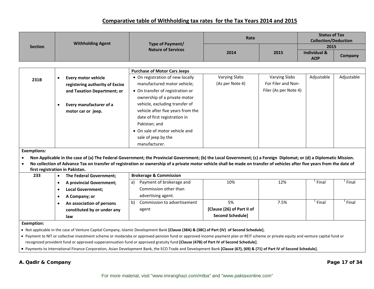|                    |                                              |                                                                                                                                                                                                                                                                                                                          | Rate                       |                       | <b>Status of Tax</b><br><b>Collection/Deduction</b> |            |
|--------------------|----------------------------------------------|--------------------------------------------------------------------------------------------------------------------------------------------------------------------------------------------------------------------------------------------------------------------------------------------------------------------------|----------------------------|-----------------------|-----------------------------------------------------|------------|
| <b>Section</b>     | <b>Withholding Agent</b>                     | Type of Payment/                                                                                                                                                                                                                                                                                                         |                            |                       | 2015                                                |            |
|                    |                                              | <b>Nature of Services</b>                                                                                                                                                                                                                                                                                                | 2014                       | 2015                  | <b>Individual &amp;</b><br><b>AOP</b>               | Company    |
|                    |                                              |                                                                                                                                                                                                                                                                                                                          |                            |                       |                                                     |            |
|                    |                                              | <b>Purchase of Motor Cars Jeeps</b>                                                                                                                                                                                                                                                                                      |                            |                       |                                                     |            |
|                    | <b>Every motor vehicle</b>                   | • On registration of new locally                                                                                                                                                                                                                                                                                         | <b>Varying Slabs</b>       | <b>Varying Slabs</b>  | Adjustable                                          | Adjustable |
| 231B               | registering authority of Excise              | manufactured motor vehicle;                                                                                                                                                                                                                                                                                              | (As per Note 4)            | For Filer and Non-    |                                                     |            |
|                    | and Taxation Department; or                  | • On transfer of registration or                                                                                                                                                                                                                                                                                         |                            | Filer (As per Note 4) |                                                     |            |
|                    |                                              | ownership of a private motor                                                                                                                                                                                                                                                                                             |                            |                       |                                                     |            |
|                    | Every manufacturer of a<br>$\bullet$         | vehicle, excluding transfer of                                                                                                                                                                                                                                                                                           |                            |                       |                                                     |            |
|                    | motor car or jeep.                           | vehicle after five years from the                                                                                                                                                                                                                                                                                        |                            |                       |                                                     |            |
|                    |                                              | date of first registration in                                                                                                                                                                                                                                                                                            |                            |                       |                                                     |            |
|                    |                                              | Pakistan; and                                                                                                                                                                                                                                                                                                            |                            |                       |                                                     |            |
|                    |                                              | • On sale of motor vehicle and                                                                                                                                                                                                                                                                                           |                            |                       |                                                     |            |
|                    |                                              | sale of jeep by the                                                                                                                                                                                                                                                                                                      |                            |                       |                                                     |            |
|                    |                                              | manufacturer.                                                                                                                                                                                                                                                                                                            |                            |                       |                                                     |            |
| <b>Exemptions:</b> |                                              |                                                                                                                                                                                                                                                                                                                          |                            |                       |                                                     |            |
|                    |                                              | Non Applicable in the case of (a) The Federal Government; the Provincial Government; (b) the Local Government; (c) a Foreign Diplomat; or (d) a Diplomatic Mission.                                                                                                                                                      |                            |                       |                                                     |            |
|                    |                                              | No collection of Advance Tax on transfer of registration or ownership of a private motor vehicle shall be made on transfer of vehicles after five years from the date of                                                                                                                                                 |                            |                       |                                                     |            |
|                    | first registration in Pakistan.              |                                                                                                                                                                                                                                                                                                                          |                            |                       |                                                     |            |
| 233                | The Federal Government;<br>$\bullet$         | <b>Brokerage &amp; Commission</b>                                                                                                                                                                                                                                                                                        |                            |                       | $1$ Final                                           | $1$ Final  |
|                    | <b>A provincial Government;</b><br>$\bullet$ | Payment of brokerage and<br>a)                                                                                                                                                                                                                                                                                           | 10%                        | 12%                   |                                                     |            |
|                    | <b>Local Government;</b><br>$\bullet$        | Commission other than                                                                                                                                                                                                                                                                                                    |                            |                       |                                                     |            |
|                    | A Company; or<br>$\bullet$                   | advertising agent.                                                                                                                                                                                                                                                                                                       |                            |                       | $1$ Final                                           | $1$ Final  |
|                    | An association of persons<br>$\bullet$       | Commission to advertisement<br>b)                                                                                                                                                                                                                                                                                        | 5%                         | 7.5%                  |                                                     |            |
|                    | constituted by or under any                  | agent                                                                                                                                                                                                                                                                                                                    | [Clause (26) of Part II of |                       |                                                     |            |
|                    | law                                          |                                                                                                                                                                                                                                                                                                                          | <b>Second Schedule]</b>    |                       |                                                     |            |
| <b>Exemption:</b>  |                                              |                                                                                                                                                                                                                                                                                                                          |                            |                       |                                                     |            |
|                    |                                              | • Not applicable in the case of Venture Capital Company, Islamic Development Bank [Clause (38A) & (38C) of Part (IV) of Second Schedule].                                                                                                                                                                                |                            |                       |                                                     |            |
|                    |                                              | • Payment to NIT or collective investment scheme or modaraba or approved pension fund or approved income payment plan or REIT scheme or private equity and venture capital fund or<br>recognized provident fund or approved supperannuation fund or approved gratuity fund [Clause (47B) of Part IV of Second Schedule]. |                            |                       |                                                     |            |
|                    |                                              | • Payments to International Finance Corporation, Asian Development Bank, the ECO Trade and Development Bank [Clause (67), (69) & (71) of Part IV of Second Schedule].                                                                                                                                                    |                            |                       |                                                     |            |

#### **A. Qadir & Company Page 17 of 34**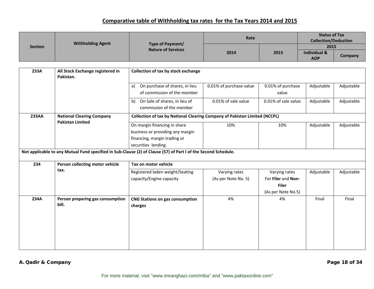| <b>Section</b> | <b>Withholding Agent</b> | Type of Payment/<br><b>Nature of Services</b> | Rate | <b>Status of Tax</b><br><b>Collection/Deduction</b> |                         |         |
|----------------|--------------------------|-----------------------------------------------|------|-----------------------------------------------------|-------------------------|---------|
|                |                          |                                               | 2014 |                                                     | 2015                    |         |
|                |                          |                                               |      | 2015                                                | <b>Individual &amp;</b> |         |
|                |                          |                                               |      |                                                     | <b>AOP</b>              | Company |

| 233A  | All Stock Exchange registered in<br>Pakistan.                                                                  | Collection of tax by stock exchange                                               |                         |                     |            |            |  |
|-------|----------------------------------------------------------------------------------------------------------------|-----------------------------------------------------------------------------------|-------------------------|---------------------|------------|------------|--|
|       |                                                                                                                | On purchase of shares, in lieu<br>a)                                              | 0.01% of purchase value | 0.01% of purchase   | Adjustable | Adjustable |  |
|       |                                                                                                                | of commission of the member                                                       |                         | value               |            |            |  |
|       |                                                                                                                | On Sale of shares, in lieu of<br>b)                                               | 0.01% of sale value     | 0.01% of sale value | Adjustable | Adjustable |  |
|       |                                                                                                                | commission of the member                                                          |                         |                     |            |            |  |
| 233AA | <b>National Clearing Company</b>                                                                               | <b>Collection of tax by National Clearing Company of Pakistan Limited (NCCPL)</b> |                         |                     |            |            |  |
|       | <b>Pakistan Limited</b>                                                                                        | On margin financing in share                                                      | 10%                     | 10%                 | Adjustable | Adjustable |  |
|       |                                                                                                                | business or providing any margin                                                  |                         |                     |            |            |  |
|       |                                                                                                                | financing, margin trading or                                                      |                         |                     |            |            |  |
|       |                                                                                                                | securities lending.                                                               |                         |                     |            |            |  |
|       | Not applicable to any Mutual Fund specified in Sub-Clause (2) of Clause (57) of Part I of the Second Schedule. |                                                                                   |                         |                     |            |            |  |
| 234   | Person collecting motor vehicle                                                                                | Tax on motor vehicle                                                              |                         |                     |            |            |  |
|       | tax.                                                                                                           | Registered laden weight/Seating                                                   | Varying rates           | Varying rates       | Adjustable | Adjustable |  |
|       |                                                                                                                | capacity/Engine capacity                                                          | (As per Note No. 5)     | For Filer and Non-  |            |            |  |
|       |                                                                                                                |                                                                                   |                         | <b>Filer</b>        |            |            |  |
|       |                                                                                                                |                                                                                   |                         | (As per Note No.5)  |            |            |  |
| 234A  | Person preparing gas consumption                                                                               | <b>CNG Stations on gas consumption</b>                                            | 4%                      | 4%                  | Final      | Final      |  |
|       | bill.                                                                                                          | charges                                                                           |                         |                     |            |            |  |
|       |                                                                                                                |                                                                                   |                         |                     |            |            |  |
|       |                                                                                                                |                                                                                   |                         |                     |            |            |  |
|       |                                                                                                                |                                                                                   |                         |                     |            |            |  |
|       |                                                                                                                |                                                                                   |                         |                     |            |            |  |
|       |                                                                                                                |                                                                                   |                         |                     |            |            |  |
|       |                                                                                                                |                                                                                   |                         |                     |            |            |  |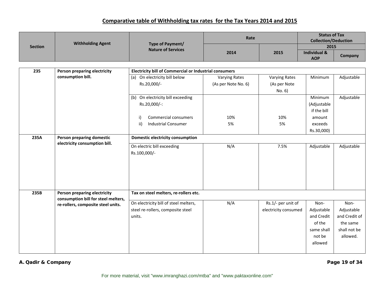|                |                                     |                                                               | Rate                 |                      | <b>Status of Tax</b><br><b>Collection/Deduction</b> |               |
|----------------|-------------------------------------|---------------------------------------------------------------|----------------------|----------------------|-----------------------------------------------------|---------------|
| <b>Section</b> | <b>Withholding Agent</b>            | Type of Payment/<br><b>Nature of Services</b>                 |                      |                      | 2015                                                |               |
|                |                                     |                                                               | 2014                 | 2015                 | <b>Individual &amp;</b><br><b>AOP</b>               | Company       |
|                |                                     |                                                               |                      |                      |                                                     |               |
| 235            | Person preparing electricity        | <b>Electricity bill of Commercial or Industrial consumers</b> |                      |                      |                                                     |               |
|                | consumption bill.                   | (a) On electricity bill below                                 | <b>Varying Rates</b> | <b>Varying Rates</b> | Minimum                                             | Adjustable    |
|                |                                     | Rs.20,000/-                                                   | (As per Note No. 6)  | (As per Note         |                                                     |               |
|                |                                     |                                                               |                      | No. 6)               |                                                     |               |
|                |                                     | (b) On electricity bill exceeding                             |                      |                      | Minimum                                             | Adjustable    |
|                |                                     | Rs.20,000/-:                                                  |                      |                      | (Adjustable                                         |               |
|                |                                     |                                                               |                      |                      | if the bill                                         |               |
|                |                                     | <b>Commercial consumers</b><br>i)                             | 10%                  | 10%                  | amount                                              |               |
|                |                                     | ii)<br><b>Industrial Consumer</b>                             | 5%                   | 5%                   | exceeds                                             |               |
|                |                                     |                                                               |                      |                      | Rs.30,000)                                          |               |
| 235A           | Person preparing domestic           | <b>Domestic electricity consumption</b>                       |                      |                      |                                                     |               |
|                | electricity consumption bill.       | On electric bill exceeding                                    | N/A                  | 7.5%                 | Adjustable                                          | Adjustable    |
|                |                                     | Rs.100,000/-                                                  |                      |                      |                                                     |               |
|                |                                     |                                                               |                      |                      |                                                     |               |
|                |                                     |                                                               |                      |                      |                                                     |               |
|                |                                     |                                                               |                      |                      |                                                     |               |
|                |                                     |                                                               |                      |                      |                                                     |               |
|                |                                     |                                                               |                      |                      |                                                     |               |
| 235B           | Person preparing electricity        | Tax on steel melters, re-rollers etc.                         |                      |                      |                                                     |               |
|                | consumption bill for steel melters, |                                                               |                      |                      |                                                     |               |
|                | re-rollers, composite steel units.  | On electricity bill of steel melters,                         | N/A                  | Rs.1/- per unit of   | Non-                                                | Non-          |
|                |                                     | steel re-rollers, composite steel                             |                      | electricity consumed | Adjustable                                          | Adjustable    |
|                |                                     | units.                                                        |                      |                      | and Credit                                          | and Credit of |
|                |                                     |                                                               |                      |                      | of the                                              | the same      |
|                |                                     |                                                               |                      |                      | same shall                                          | shall not be  |
|                |                                     |                                                               |                      |                      | not be                                              | allowed.      |
|                |                                     |                                                               |                      |                      | allowed                                             |               |
|                |                                     |                                                               |                      |                      |                                                     |               |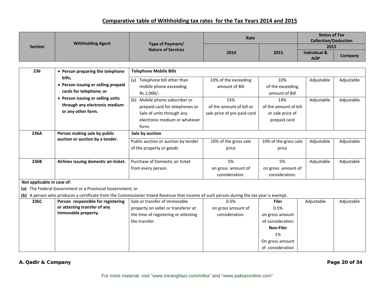|                            |                                                                    |                                                                                                                                        | Rate                        |                                      | <b>Status of Tax</b><br><b>Collection/Deduction</b> |            |
|----------------------------|--------------------------------------------------------------------|----------------------------------------------------------------------------------------------------------------------------------------|-----------------------------|--------------------------------------|-----------------------------------------------------|------------|
| <b>Section</b>             | <b>Withholding Agent</b>                                           | Type of Payment/                                                                                                                       |                             |                                      | 2015                                                |            |
|                            |                                                                    | <b>Nature of Services</b>                                                                                                              | 2014                        | 2015                                 | <b>Individual &amp;</b><br><b>AOP</b>               | Company    |
|                            |                                                                    |                                                                                                                                        |                             |                                      |                                                     |            |
| 236                        | • Person preparing the telephone                                   | <b>Telephone Mobile Bills</b>                                                                                                          |                             |                                      |                                                     |            |
|                            | bills;                                                             | (a) Telephone bill other than                                                                                                          | 10% of the exceeding        | 10%                                  | Adjustable                                          | Adjustable |
|                            | • Person issuing or selling prepaid                                | mobile phone exceeding                                                                                                                 | amount of Bill              | of the exceeding                     |                                                     |            |
|                            | cards for telephone; or                                            | Rs.1,000/-.                                                                                                                            |                             | amount of Bill                       |                                                     |            |
|                            | • Person issuing or selling units                                  | (b) Mobile phone subscriber or                                                                                                         | 15%                         | 14%                                  | Adjustable                                          | Adjustable |
|                            | through any electronic medium                                      | prepaid card for telephones or                                                                                                         | of the amount of bill or    | of the amount of bill                |                                                     |            |
|                            | or any other form.                                                 | Sale of units through any                                                                                                              | sale price of pre-paid card | or sale price of                     |                                                     |            |
|                            |                                                                    | electronic medium or whatever                                                                                                          |                             | prepaid card                         |                                                     |            |
|                            |                                                                    | form.                                                                                                                                  |                             |                                      |                                                     |            |
| 236A                       | Person making sale by public                                       | Sale by auction                                                                                                                        |                             |                                      |                                                     |            |
|                            | auction or auction by a tender.                                    | Public auction or auction by tender                                                                                                    | 10% of the gross sale       | 10% of the gross sale                | Adjustable                                          | Adjustable |
|                            |                                                                    | of the property or goods                                                                                                               | price                       | price                                |                                                     |            |
|                            |                                                                    |                                                                                                                                        |                             |                                      |                                                     |            |
| 236B                       | Airlines issuing domestic air-ticket.                              | Purchase of Domestic air ticket                                                                                                        | 5%                          | 5%                                   | Adjustable                                          | Adjustable |
|                            |                                                                    | from every person.                                                                                                                     | on gross amount of          | on gross amount of                   |                                                     |            |
|                            |                                                                    |                                                                                                                                        | consideration.              | consideration.                       |                                                     |            |
| Not applicable in case of: |                                                                    |                                                                                                                                        |                             |                                      |                                                     |            |
|                            | (a) The Federal Government or a Provincial Government; or          |                                                                                                                                        |                             |                                      |                                                     |            |
|                            |                                                                    | (b) A person who produces a certificate from the Commissioner Inland Revenue that income of such person during the tax year is exempt. |                             |                                      |                                                     |            |
| 236C                       | Person responsible for registering<br>or attesting transfer of any | Sale or transfer of immovable                                                                                                          | 0.5%                        | <b>Filer</b>                         | Adjustable                                          | Adjustable |
|                            | immovable property.                                                | property on seller or transferor at                                                                                                    | on gross amount of          | 0.5%                                 |                                                     |            |
|                            |                                                                    | the time of registering or attesting                                                                                                   | consideration.              | on gross amount                      |                                                     |            |
|                            |                                                                    | the transfer.                                                                                                                          |                             | of consideration<br><b>Non-Filer</b> |                                                     |            |
|                            |                                                                    |                                                                                                                                        |                             | 1%                                   |                                                     |            |
|                            |                                                                    |                                                                                                                                        |                             | On gross amount                      |                                                     |            |
|                            |                                                                    |                                                                                                                                        |                             | of consideration                     |                                                     |            |
|                            |                                                                    |                                                                                                                                        |                             |                                      |                                                     |            |

#### **A. Qadir & Company Page 20 of 34**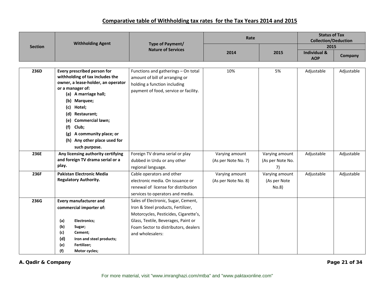|                | <b>Withholding Agent</b>                                                                                                                                                                                                                                                                                                                | Type of Payment/                                                                                                                               | Rate                |                       | <b>Status of Tax</b><br><b>Collection/Deduction</b> |            |
|----------------|-----------------------------------------------------------------------------------------------------------------------------------------------------------------------------------------------------------------------------------------------------------------------------------------------------------------------------------------|------------------------------------------------------------------------------------------------------------------------------------------------|---------------------|-----------------------|-----------------------------------------------------|------------|
| <b>Section</b> |                                                                                                                                                                                                                                                                                                                                         | <b>Nature of Services</b>                                                                                                                      |                     |                       | 2015                                                |            |
|                |                                                                                                                                                                                                                                                                                                                                         |                                                                                                                                                | 2014                | 2015                  | <b>Individual &amp;</b><br><b>AOP</b>               | Company    |
|                |                                                                                                                                                                                                                                                                                                                                         |                                                                                                                                                |                     |                       |                                                     |            |
| 236D           | Every prescribed person for<br>withholding of tax includes the<br>owner, a lease-holder, an operator<br>or a manager of:<br>(a) A marriage hall;<br>(b) Marquee;<br>Hotel;<br>(c)<br>(d) Restaurant;<br><b>Commercial lawn;</b><br>(e)<br>Club;<br>(f)<br>A community place; or<br>(g)<br>(h) Any other place used for<br>such purpose. | Functions and gatherings - On total<br>amount of bill of arranging or<br>holding a function including<br>payment of food, service or facility. | 10%                 | 5%                    | Adjustable                                          | Adjustable |
| 236E           | Any licensing authority certifying                                                                                                                                                                                                                                                                                                      | Foreign TV drama serial or play                                                                                                                | Varying amount      | Varying amount        | Adjustable                                          | Adjustable |
|                | and foreign TV drama serial or a                                                                                                                                                                                                                                                                                                        | dubbed in Urdu or any other                                                                                                                    | (As per Note No. 7) | (As per Note No.      |                                                     |            |
|                | play.                                                                                                                                                                                                                                                                                                                                   | regional language.                                                                                                                             |                     | 7)                    |                                                     |            |
| 236F           | <b>Pakistan Electronic Media</b>                                                                                                                                                                                                                                                                                                        | Cable operators and other                                                                                                                      | Varying amount      | Varying amount        | Adjustable                                          | Adjustable |
|                | <b>Regulatory Authority.</b>                                                                                                                                                                                                                                                                                                            | electronic media. On issuance or<br>renewal of license for distribution<br>services to operators and media.                                    | (As per Note No. 8) | (As per Note<br>No.8) |                                                     |            |
| 236G           | <b>Every manufacturer and</b>                                                                                                                                                                                                                                                                                                           | Sales of Electronic, Sugar, Cement,                                                                                                            |                     |                       |                                                     |            |
|                | commercial importer of:                                                                                                                                                                                                                                                                                                                 | Iron & Steel products, Fertilizer,                                                                                                             |                     |                       |                                                     |            |
|                |                                                                                                                                                                                                                                                                                                                                         | Motorcycles, Pesticides, Cigarette's,                                                                                                          |                     |                       |                                                     |            |
|                | (a)<br><b>Electronics:</b>                                                                                                                                                                                                                                                                                                              | Glass, Textile, Beverages, Paint or                                                                                                            |                     |                       |                                                     |            |
|                | (b)<br>Sugar;                                                                                                                                                                                                                                                                                                                           | Foam Sector to distributors, dealers                                                                                                           |                     |                       |                                                     |            |
|                | (c)<br>Cement;<br>(d)<br>Iron and steel products;                                                                                                                                                                                                                                                                                       | and wholesalers:                                                                                                                               |                     |                       |                                                     |            |
|                | Fertilizer;<br>(e)                                                                                                                                                                                                                                                                                                                      |                                                                                                                                                |                     |                       |                                                     |            |
|                | (f)<br>Motor cycles;                                                                                                                                                                                                                                                                                                                    |                                                                                                                                                |                     |                       |                                                     |            |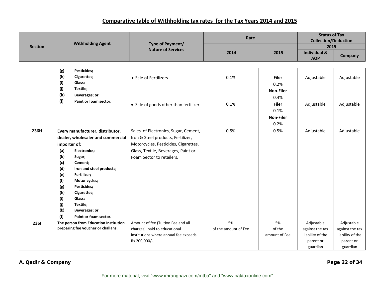|                | <b>Withholding Agent</b>              | Type of Payment/<br><b>Nature of Services</b> | Rate                 |                  | <b>Status of Tax</b><br><b>Collection/Deduction</b> |                  |
|----------------|---------------------------------------|-----------------------------------------------|----------------------|------------------|-----------------------------------------------------|------------------|
| <b>Section</b> |                                       |                                               |                      |                  | 2015                                                |                  |
|                |                                       |                                               | 2014                 | 2015             | <b>Individual &amp;</b><br><b>AOP</b>               | Company          |
|                |                                       |                                               |                      |                  |                                                     |                  |
|                | Pesticides;<br>(g)                    |                                               |                      |                  |                                                     |                  |
|                | (h)<br>Cigarettes;                    | • Sale of Fertilizers                         | 0.1%                 | <b>Filer</b>     | Adjustable                                          | Adjustable       |
|                | (i)<br>Glass;                         |                                               |                      | 0.2%             |                                                     |                  |
|                | (i)<br>Textile;                       |                                               |                      | <b>Non-Filer</b> |                                                     |                  |
|                | (k)<br><b>Beverages; or</b>           |                                               |                      | 0.4%             |                                                     |                  |
|                | (1)<br>Paint or foam sector.          | • Sale of goods other than fertilizer         | 0.1%                 | <b>Filer</b>     | Adjustable                                          | Adjustable       |
|                |                                       |                                               |                      | 0.1%             |                                                     |                  |
|                |                                       |                                               |                      | <b>Non-Filer</b> |                                                     |                  |
|                |                                       |                                               |                      | 0.2%             |                                                     |                  |
| 236H           | Every manufacturer, distributor,      | Sales of Electronics, Sugar, Cement,          | 0.5%                 | 0.5%             | Adjustable                                          | Adjustable       |
|                | dealer, wholesaler and commercial     | Iron & Steel products, Fertilizer,            |                      |                  |                                                     |                  |
|                |                                       | Motorcycles, Pesticides, Cigarettes,          |                      |                  |                                                     |                  |
|                | importer of:                          |                                               |                      |                  |                                                     |                  |
|                | (a)<br><b>Electronics;</b>            | Glass, Textile, Beverages, Paint or           |                      |                  |                                                     |                  |
|                | (b)<br>Sugar;<br>(c)<br>Cement;       | Foam Sector to retailers.                     |                      |                  |                                                     |                  |
|                | (d)<br>Iron and steel products;       |                                               |                      |                  |                                                     |                  |
|                | (e)<br>Fertilizer;                    |                                               |                      |                  |                                                     |                  |
|                | (f)<br>Motor cycles;                  |                                               |                      |                  |                                                     |                  |
|                | (g)<br>Pesticides;                    |                                               |                      |                  |                                                     |                  |
|                | (h)<br>Cigarettes;                    |                                               |                      |                  |                                                     |                  |
|                | (i)<br>Glass;                         |                                               |                      |                  |                                                     |                  |
|                | (j)<br>Textile;                       |                                               |                      |                  |                                                     |                  |
|                | (k)<br>Beverages; or                  |                                               |                      |                  |                                                     |                  |
|                | (1)<br>Paint or foam sector.          |                                               |                      |                  |                                                     |                  |
| 2361           | The person from Education Institution | Amount of fee (Tuition Fee and all            | 5%                   | 5%               | Adjustable                                          | Adjustable       |
|                | preparing fee voucher or challans.    | charges) paid to educational                  | of the amount of Fee | of the           | against the tax                                     | against the tax  |
|                |                                       | institutions where annual fee exceeds         |                      | amount of Fee    | liability of the                                    | liability of the |
|                |                                       | Rs.200,000/-.                                 |                      |                  | parent or                                           | parent or        |
|                |                                       |                                               |                      |                  | guardian                                            | guardian         |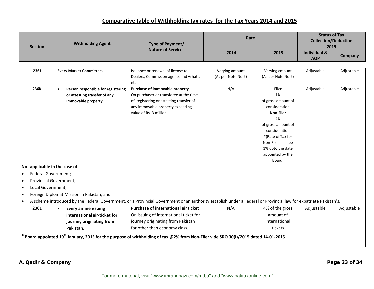| <b>Section</b> | <b>Withholding Agent</b> | Type of Payment/<br><b>Nature of Services</b> | Rate | <b>Status of Tax</b><br><b>Collection/Deduction</b> |                         |         |
|----------------|--------------------------|-----------------------------------------------|------|-----------------------------------------------------|-------------------------|---------|
|                |                          |                                               | 2014 |                                                     | 2015                    |         |
|                |                          |                                               |      | 2015                                                | <b>Individual &amp;</b> |         |
|                |                          |                                               |      |                                                     | <b>AOP</b>              | Company |

| 236J                           | <b>Every Market Committee.</b>                  | Issuance or renewal of license to       | Varying amount     | Varying amount     | Adjustable | Adjustable |
|--------------------------------|-------------------------------------------------|-----------------------------------------|--------------------|--------------------|------------|------------|
|                                |                                                 | Dealers, Commission agents and Arhatis  | (As per Note No.9) | (As per Note No.9) |            |            |
|                                |                                                 | etc.                                    |                    |                    |            |            |
| 236K                           | Person responsible for registering<br>$\bullet$ | Purchase of immovable property          | N/A                | <b>Filer</b>       | Adjustable | Adjustable |
|                                | or attesting transfer of any                    | On purchaser or transferee at the time  |                    | 1%                 |            |            |
|                                | Immovable property.                             | of registering or attesting transfer of |                    | of gross amount of |            |            |
|                                |                                                 | any immovable property exceeding        |                    | consideration      |            |            |
|                                |                                                 | value of Rs. 3 million                  |                    | Non-Filer          |            |            |
|                                |                                                 |                                         |                    | 2%                 |            |            |
|                                |                                                 |                                         |                    | of gross amount of |            |            |
|                                |                                                 |                                         |                    | consideration      |            |            |
|                                |                                                 |                                         |                    | *(Rate of Tax for  |            |            |
|                                |                                                 |                                         |                    | Non-Filer shall be |            |            |
|                                |                                                 |                                         |                    | 1% upto the date   |            |            |
|                                |                                                 |                                         |                    | appointed by the   |            |            |
|                                |                                                 |                                         |                    | Board)             |            |            |
| Not applicable in the case of: |                                                 |                                         |                    |                    |            |            |
| Federal Government;            |                                                 |                                         |                    |                    |            |            |
| <b>Provincial Government;</b>  |                                                 |                                         |                    |                    |            |            |

- •Local Government;
- •Foreign Diplomat Mission in Pakistan; and
- •A scheme introduced by the Federal Government, or <sup>a</sup> Provincial Government or an authority establish under <sup>a</sup> Federal or Provincial law for expatriate Pakistan's.

| 236L                                                                                                                                                                                                                                      |  | Every airline issuing        | Purchase of international air ticket   | N/A | 4% of the gross | Adjustable | Adjustable |  |  |
|-------------------------------------------------------------------------------------------------------------------------------------------------------------------------------------------------------------------------------------------|--|------------------------------|----------------------------------------|-----|-----------------|------------|------------|--|--|
|                                                                                                                                                                                                                                           |  | international air-ticket for | On issuing of international ticket for |     | amount of       |            |            |  |  |
|                                                                                                                                                                                                                                           |  | journey originating from     | journey originating from Pakistan      |     | international   |            |            |  |  |
|                                                                                                                                                                                                                                           |  | Pakistan.                    | for other than economy class.          |     | tickets         |            |            |  |  |
| $\mathcal{F}_{\mathbf{P}}$ is table to a contract the contract of the contract of the contract of the contract of the contract of the contract of the contract of the contract of the contract of the contract of the contract of the con |  |                              |                                        |     |                 |            |            |  |  |

 $*$ Board appointed 19<sup>th</sup> January, 2015 for the purpose of withholding of tax @2% from Non-Filer vide SRO 30(I)/2015 dated 14-01-2015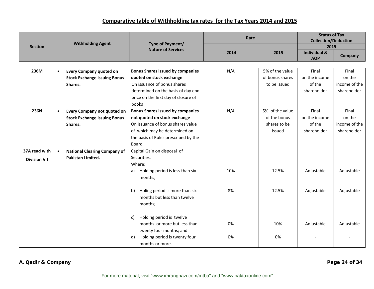|           |                                     |                                         | Rate                                                                                                                                                                                                               |                 | <b>Status of Tax</b><br><b>Collection/Deduction</b> |                                  |
|-----------|-------------------------------------|-----------------------------------------|--------------------------------------------------------------------------------------------------------------------------------------------------------------------------------------------------------------------|-----------------|-----------------------------------------------------|----------------------------------|
|           |                                     |                                         |                                                                                                                                                                                                                    |                 |                                                     |                                  |
|           |                                     |                                         | 2014                                                                                                                                                                                                               | 2015            | <b>Individual &amp;</b><br><b>AOP</b>               | Company                          |
|           |                                     |                                         |                                                                                                                                                                                                                    |                 |                                                     |                                  |
| $\bullet$ | <b>Every Company quoted on</b>      | <b>Bonus Shares issued by companies</b> | N/A                                                                                                                                                                                                                | 5% of the value | Final                                               | Final                            |
|           | <b>Stock Exchange issuing Bonus</b> | quoted on stock exchange                |                                                                                                                                                                                                                    | of bonus shares | on the income                                       | on the                           |
|           | Shares.                             | On issuance of bonus shares             |                                                                                                                                                                                                                    | to be issued    | of the                                              | income of the                    |
|           |                                     | determined on the basis of day end      |                                                                                                                                                                                                                    |                 | shareholder                                         | shareholder                      |
|           |                                     | price on the first day of closure of    |                                                                                                                                                                                                                    |                 |                                                     |                                  |
|           |                                     | books                                   |                                                                                                                                                                                                                    |                 |                                                     |                                  |
| $\bullet$ | Every Company not quoted on         | <b>Bonus Shares issued by companies</b> | N/A                                                                                                                                                                                                                | 5% of the value | Final                                               | Final                            |
|           | <b>Stock Exchange issuing Bonus</b> | not quoted on stock exchange            |                                                                                                                                                                                                                    | of the bonus    | on the income                                       | on the                           |
|           | Shares.                             | On issuance of bonus shares value       |                                                                                                                                                                                                                    | shares to be    | of the                                              | income of the                    |
|           |                                     | of which may be determined on           |                                                                                                                                                                                                                    | issued          | shareholder                                         | shareholder                      |
|           |                                     | the basis of Rules prescribed by the    |                                                                                                                                                                                                                    |                 |                                                     |                                  |
|           |                                     | Board                                   |                                                                                                                                                                                                                    |                 |                                                     |                                  |
| $\bullet$ | <b>National Clearing Company of</b> | Capital Gain on disposal of             |                                                                                                                                                                                                                    |                 |                                                     |                                  |
|           | Pakistan Limited.                   | Securities.                             |                                                                                                                                                                                                                    |                 |                                                     |                                  |
|           |                                     | Where:                                  |                                                                                                                                                                                                                    |                 |                                                     |                                  |
|           |                                     | Holding period is less than six<br>a)   | 10%                                                                                                                                                                                                                | 12.5%           | Adjustable                                          | Adjustable                       |
|           |                                     | months;                                 |                                                                                                                                                                                                                    |                 |                                                     |                                  |
|           |                                     |                                         |                                                                                                                                                                                                                    |                 |                                                     |                                  |
|           |                                     | $\mathbf{b}$                            | 8%                                                                                                                                                                                                                 | 12.5%           |                                                     | Adjustable                       |
|           |                                     | months but less than twelve             |                                                                                                                                                                                                                    |                 |                                                     |                                  |
|           |                                     |                                         |                                                                                                                                                                                                                    |                 |                                                     |                                  |
|           |                                     |                                         |                                                                                                                                                                                                                    |                 |                                                     |                                  |
|           |                                     | c)                                      |                                                                                                                                                                                                                    |                 |                                                     |                                  |
|           |                                     |                                         | 0%                                                                                                                                                                                                                 | 10%             |                                                     | Adjustable                       |
|           |                                     |                                         |                                                                                                                                                                                                                    |                 |                                                     |                                  |
|           |                                     | d)                                      | 0%                                                                                                                                                                                                                 | 0%              |                                                     |                                  |
|           |                                     | months or more.                         |                                                                                                                                                                                                                    |                 |                                                     |                                  |
|           |                                     | <b>Withholding Agent</b>                | Type of Payment/<br><b>Nature of Services</b><br>Holing period is more than six<br>months;<br>Holding period is twelve<br>months or more but less than<br>twenty four months; and<br>Holding period is twenty four |                 |                                                     | 2015<br>Adjustable<br>Adjustable |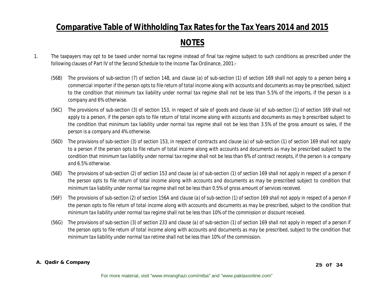### **NOTES**

- 1. The taxpayers may opt to be taxed under normal tax regime instead of final tax regime subject to such conditions as prescribed under the following clauses of Part IV of the Second Schedule to the Income Tax Ordinance, 2001:-
	- *(56B) The provisions of sub-section (7) of section 148, and clause (a) of sub-section (1) of section 169 shall not apply to a person being a commercial importer if the person opts to file return of total income along with accounts and documents as may be prescribed, subject to the condition that minimum tax liability under normal tax regime shall not be less than 5.5% of the imports, if the person is a company and 6% otherwise.*
	- *(56C) The provisions of sub-section (3) of section 153, in respect of sale of goods and clause (a) of sub-section (1) of section 169 shall not apply to a person, if the person opts to file return of total income along with accounts and documents as may b prescribed subject to the condition that minimum tax liability under normal tax regime shall not be less than 3.5% of the gross amount os sales, if the person is a company and 4% otherwise.*
	- *(56D) The provisions of sub-section (3) of section 153, in respect of contracts and clause (a) of sub-section (1) of section 169 shall not apply to a person if the person opts to file return of total income along with accounts and documents as may be prescribed subject to the condition that minimum tax liability under normal tax regime shall not be less than 6% of contract receipts, if the person is a company and 6.5% otherwise.*
	- *(56E) The provisions of sub-section (2) of section 153 and clause (a) of sub-section (1) of section 169 shall not apply in respect of a person if the person opts to file return of total income along with accounts and documents as may be prescribed subject to condition that minimum tax liability under normal tax regime shall not be less than 0.5% of gross amount of services received.*
	- *(56F) The provisions of sub-section (2) of section 156A and clause (a) of sub-section (1) of section 169 shall not apply in respect of a person if the person opts to file return of total income along with accounts and documents as may be prescribed, subject to the condition that minimum tax liability under normal tax regime shall not be less than 10% of the commission or discount received.*
	- *(56G) The provisions of sub-section (3) of section 233 and clause (a) of sub-section (1) of section 169 shall not apply in respect of a person if the person opts to file return of total income along with accounts and documents as may be prescribed, subject to the condition that minimum tax liability under normal tax retime shall not be less than 10% of the commission.*

#### **A. Qadir & Company**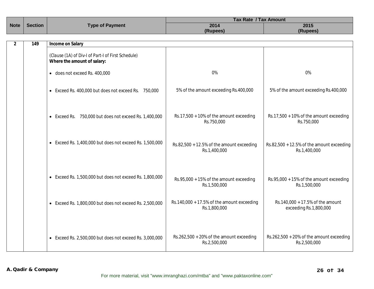|             |                |                        | <b>Tax Rate / Tax Amount</b> |          |  |
|-------------|----------------|------------------------|------------------------------|----------|--|
| <b>Note</b> | <b>Section</b> | <b>Type of Payment</b> | 2014                         | 2015     |  |
|             |                |                        | (Rupees)                     | (Rupees) |  |
|             |                |                        |                              |          |  |
|             | 149            | Income on Salary       |                              |          |  |
|             |                |                        |                              |          |  |
|             |                |                        |                              |          |  |

| (classe (TA) or DIV-For Fart-For First scribbinc)<br>Where the amount of salary: |                                                              |                                                              |
|----------------------------------------------------------------------------------|--------------------------------------------------------------|--------------------------------------------------------------|
| $\bullet$ does not exceed Rs. 400,000                                            | 0%                                                           | 0%                                                           |
| • Exceed Rs. 400,000 but does not exceed Rs. 750,000                             | 5% of the amount exceeding Rs.400,000                        | 5% of the amount exceeding Rs.400,000                        |
| • Exceed Rs. 750,000 but does not exceed Rs. 1,400,000                           | $Rs.17,500 + 10\%$ of the amount exceeding<br>Rs.750,000     | $Rs.17,500 + 10\%$ of the amount exceeding<br>Rs.750,000     |
| $\bullet$ Exceed Rs. 1,400,000 but does not exceed Rs. 1,500,000                 | $Rs.82,500 + 12.5\%$ of the amount exceeding<br>Rs.1,400,000 | $Rs.82,500 + 12.5\%$ of the amount exceeding<br>Rs.1,400,000 |
| • Exceed Rs. 1,500,000 but does not exceed Rs. 1,800,000                         | $Rs.95,000 + 15\%$ of the amount exceeding<br>Rs.1,500,000   | Rs.95,000 + 15% of the amount exceeding<br>Rs.1,500,000      |
| $\bullet$ Exceed Rs. 1,800,000 but does not exceed Rs. 2,500,000                 | Rs.140,000 + 17.5% of the amount exceeding<br>Rs.1,800,000   | Rs.140,000 + 17.5% of the amount<br>exceeding Rs.1,800,000   |
| • Exceed Rs. 2,500,000 but does not exceed Rs. 3,000,000                         | $Rs.262,500 + 20\%$ of the amount exceeding<br>Rs.2,500,000  | $Rs.262,500 + 20\%$ of the amount exceeding<br>Rs.2,500,000  |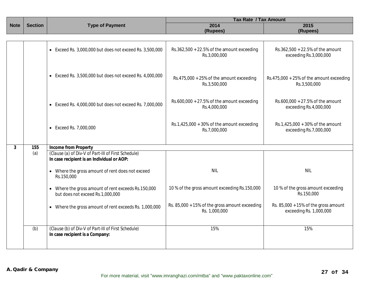|                               |     |                                                                                                   | <b>Tax Rate / Tax Amount</b>                                    |                                                                 |  |
|-------------------------------|-----|---------------------------------------------------------------------------------------------------|-----------------------------------------------------------------|-----------------------------------------------------------------|--|
| <b>Section</b><br><b>Note</b> |     | <b>Type of Payment</b>                                                                            | 2014                                                            | 2015                                                            |  |
|                               |     |                                                                                                   | (Rupees)                                                        | (Rupees)                                                        |  |
|                               |     |                                                                                                   |                                                                 |                                                                 |  |
|                               |     | • Exceed Rs. 3,000,000 but does not exceed Rs. 3,500,000                                          | $Rs.362,500 + 22.5\%$ of the amount exceeding<br>Rs.3,000,000   | Rs.362,500 + 22.5% of the amount<br>exceeding Rs.3,000,000      |  |
|                               |     | $\bullet$ Exceed Rs. 3,500,000 but does not exceed Rs. 4,000,000                                  | Rs.475,000 + 25% of the amount exceeding<br>Rs.3,500,000        | Rs.475,000 + 25% of the amount exceeding<br>Rs.3,500,000        |  |
|                               |     | $\bullet$ Exceed Rs. 4,000,000 but does not exceed Rs. 7,000,000                                  | $Rs.600,000 + 27.5\%$ of the amount exceeding<br>Rs.4,000,000   | Rs.600,000 + 27.5% of the amount<br>exceeding Rs.4,000,000      |  |
|                               |     | • Exceed Rs. 7,000,000                                                                            | Rs.1,425,000 + 30% of the amount exceeding<br>Rs.7,000,000      | Rs.1,425,000 + 30% of the amount<br>exceeding Rs.7,000,000      |  |
|                               |     |                                                                                                   |                                                                 |                                                                 |  |
| 3                             | 155 | <b>Income from Property</b>                                                                       |                                                                 |                                                                 |  |
|                               | (a) | (Clause (a) of Div-V of Part-III of First Schedule)<br>In case recipient is an Individual or AOP: |                                                                 |                                                                 |  |
|                               |     | • Where the gross amount of rent does not exceed<br>Rs.150,000                                    | <b>NIL</b>                                                      | <b>NIL</b>                                                      |  |
|                               |     | • Where the gross amount of rent exceeds Rs.150,000<br>but does not exceed Rs.1,000,000           | 10 % of the gross amount exceeding Rs.150,000                   | 10 % of the gross amount exceeding<br>Rs.150,000                |  |
|                               |     | • Where the gross amount of rent exceeds Rs. 1,000,000                                            | Rs. 85,000 + 15% of the gross amount exceeding<br>Rs. 1,000,000 | Rs. 85,000 + 15% of the gross amount<br>exceeding Rs. 1,000,000 |  |
|                               | (b) | (Clause (b) of Div-V of Part-III of First Schedule)<br>In case recipient is a Company:            | 15%                                                             | 15%                                                             |  |
|                               |     |                                                                                                   |                                                                 |                                                                 |  |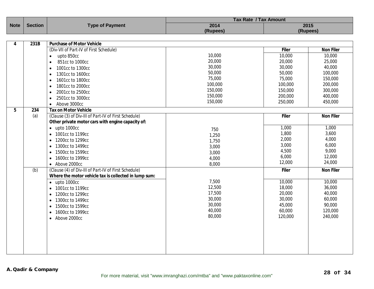|             |                |                                                       | <b>Tax Rate / Tax Amount</b> |              |                  |
|-------------|----------------|-------------------------------------------------------|------------------------------|--------------|------------------|
| <b>Note</b> | <b>Section</b> | <b>Type of Payment</b>                                | 2014                         |              | 2015             |
|             |                |                                                       | (Rupees)                     |              | (Rupees)         |
|             |                |                                                       |                              |              |                  |
| 4           | 231B           | <b>Purchase of Motor Vehicle</b>                      |                              |              |                  |
|             |                | (Div-VII of Part-IV of First Schedule)                |                              | <b>Filer</b> | <b>Non Filer</b> |
|             |                | upto 850cc<br>$\bullet$                               | 10,000                       | 10,000       | 10,000           |
|             |                | 851cc to 1000cc<br>$\bullet$                          | 20,000                       | 20,000       | 25,000           |
|             |                | 1001cc to 1300cc<br>$\bullet$                         | 30,000                       | 30,000       | 40,000           |
|             |                | 1301cc to 1600cc<br>$\bullet$                         | 50,000                       | 50,000       | 100,000          |
|             |                | 1601cc to 1800cc<br>$\bullet$                         | 75,000                       | 75,000       | 150,000          |
|             |                | 1801cc to 2000cc<br>$\bullet$                         | 100,000                      | 100,000      | 200,000          |
|             |                | 2001cc to 2500cc<br>$\bullet$                         | 150,000                      | 150,000      | 300,000          |
|             |                | 2501cc to 3000cc<br>$\bullet$                         | 150,000                      | 200,000      | 400,000          |
|             |                | Above 3000cc<br>$\bullet$                             | 150,000                      | 250,000      | 450,000          |
| 5           | 234            | <b>Tax on Motor Vehicle</b>                           |                              |              |                  |
|             | (a)            | (Clause (3) of Div-III of Part-IV of First Schedule)  |                              | <b>Filer</b> | <b>Non Filer</b> |
|             |                | Other private motor cars with engine capacity of:     |                              |              |                  |
|             |                | $\bullet$ upto 1000cc                                 |                              | 1,000        | 1,000            |
|             |                |                                                       | 750                          | 1,800        | 3,600            |
|             |                | 1001cc to 1199cc<br>$\bullet$                         | 1,250                        | 2,000        | 4,000            |
|             |                | 1200cc to 1299cc<br>$\bullet$                         | 1,750                        | 3,000        | 6,000            |
|             |                | 1300cc to 1499cc<br>$\bullet$                         | 3,000                        | 4,500        | 9,000            |
|             |                | 1500cc to 1599cc<br>$\bullet$                         | 3,000                        | 6,000        | 12,000           |
|             |                | 1600cc to 1999cc<br>$\bullet$                         | 4,000                        | 12,000       |                  |
|             |                | • Above 2000cc                                        | 8,000                        |              | 24,000           |
|             | (b)            | (Clause (4) of Div-III of Part-IV of First Schedule)  |                              | <b>Filer</b> | <b>Non Filer</b> |
|             |                | Where the motor vehicle tax is collected in lump sum: |                              |              |                  |
|             |                | $\bullet$ upto 1000cc                                 | 7,500                        | 10,000       | 10,000           |
|             |                | 1001cc to 1199cc<br>$\bullet$                         | 12,500                       | 18,000       | 36,000           |
|             |                | 1200cc to 1299cc<br>$\bullet$                         | 17,500                       | 20,000       | 40,000           |
|             |                | 1300cc to 1499cc<br>$\bullet$                         | 30,000                       | 30,000       | 60,000           |
|             |                | 1500cc to 1599cc<br>$\bullet$                         | 30,000                       | 45,000       | 90,000           |
|             |                | 1600cc to 1999cc<br>$\bullet$                         | 40,000                       | 60,000       | 120,000          |
|             |                | Above 2000cc<br>$\bullet$                             | 80,000                       | 120,000      | 240,000          |
|             |                |                                                       |                              |              |                  |
|             |                |                                                       |                              |              |                  |
|             |                |                                                       |                              |              |                  |
|             |                |                                                       |                              |              |                  |
|             |                |                                                       |                              |              |                  |
|             |                |                                                       |                              |              |                  |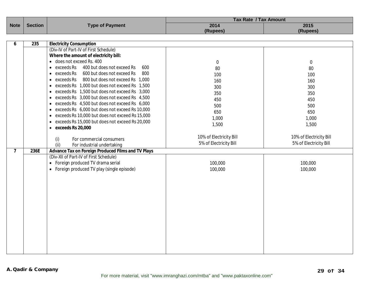|                |                         | <b>Tax Rate / Tax Amount</b>                                                                                                                                                                                                                                                                                                                                                                                                                                                                                                                                                                                                                                                                                                                                                                                                                                                                                                                                     |                                                                                                                                                  |  |
|----------------|-------------------------|------------------------------------------------------------------------------------------------------------------------------------------------------------------------------------------------------------------------------------------------------------------------------------------------------------------------------------------------------------------------------------------------------------------------------------------------------------------------------------------------------------------------------------------------------------------------------------------------------------------------------------------------------------------------------------------------------------------------------------------------------------------------------------------------------------------------------------------------------------------------------------------------------------------------------------------------------------------|--------------------------------------------------------------------------------------------------------------------------------------------------|--|
| <b>Section</b> |                         |                                                                                                                                                                                                                                                                                                                                                                                                                                                                                                                                                                                                                                                                                                                                                                                                                                                                                                                                                                  | 2015                                                                                                                                             |  |
|                |                         |                                                                                                                                                                                                                                                                                                                                                                                                                                                                                                                                                                                                                                                                                                                                                                                                                                                                                                                                                                  | (Rupees)                                                                                                                                         |  |
|                |                         |                                                                                                                                                                                                                                                                                                                                                                                                                                                                                                                                                                                                                                                                                                                                                                                                                                                                                                                                                                  |                                                                                                                                                  |  |
|                |                         |                                                                                                                                                                                                                                                                                                                                                                                                                                                                                                                                                                                                                                                                                                                                                                                                                                                                                                                                                                  |                                                                                                                                                  |  |
|                |                         |                                                                                                                                                                                                                                                                                                                                                                                                                                                                                                                                                                                                                                                                                                                                                                                                                                                                                                                                                                  |                                                                                                                                                  |  |
|                |                         |                                                                                                                                                                                                                                                                                                                                                                                                                                                                                                                                                                                                                                                                                                                                                                                                                                                                                                                                                                  |                                                                                                                                                  |  |
|                |                         | $\mathbf 0$                                                                                                                                                                                                                                                                                                                                                                                                                                                                                                                                                                                                                                                                                                                                                                                                                                                                                                                                                      | $\mathbf 0$                                                                                                                                      |  |
|                | $\bullet$               | 80                                                                                                                                                                                                                                                                                                                                                                                                                                                                                                                                                                                                                                                                                                                                                                                                                                                                                                                                                               | 80                                                                                                                                               |  |
|                | $\bullet$               | 100                                                                                                                                                                                                                                                                                                                                                                                                                                                                                                                                                                                                                                                                                                                                                                                                                                                                                                                                                              | 100                                                                                                                                              |  |
|                | exceeds Rs<br>$\bullet$ | 160                                                                                                                                                                                                                                                                                                                                                                                                                                                                                                                                                                                                                                                                                                                                                                                                                                                                                                                                                              | 160                                                                                                                                              |  |
|                | $\bullet$               |                                                                                                                                                                                                                                                                                                                                                                                                                                                                                                                                                                                                                                                                                                                                                                                                                                                                                                                                                                  | 300                                                                                                                                              |  |
|                | $\bullet$               |                                                                                                                                                                                                                                                                                                                                                                                                                                                                                                                                                                                                                                                                                                                                                                                                                                                                                                                                                                  | 350                                                                                                                                              |  |
|                | $\bullet$               |                                                                                                                                                                                                                                                                                                                                                                                                                                                                                                                                                                                                                                                                                                                                                                                                                                                                                                                                                                  | 450                                                                                                                                              |  |
|                | $\bullet$               |                                                                                                                                                                                                                                                                                                                                                                                                                                                                                                                                                                                                                                                                                                                                                                                                                                                                                                                                                                  | 500                                                                                                                                              |  |
|                | $\bullet$               |                                                                                                                                                                                                                                                                                                                                                                                                                                                                                                                                                                                                                                                                                                                                                                                                                                                                                                                                                                  | 650                                                                                                                                              |  |
|                | $\bullet$               |                                                                                                                                                                                                                                                                                                                                                                                                                                                                                                                                                                                                                                                                                                                                                                                                                                                                                                                                                                  | 1,000                                                                                                                                            |  |
|                | $\bullet$               |                                                                                                                                                                                                                                                                                                                                                                                                                                                                                                                                                                                                                                                                                                                                                                                                                                                                                                                                                                  | 1,500                                                                                                                                            |  |
|                | $\bullet$               |                                                                                                                                                                                                                                                                                                                                                                                                                                                                                                                                                                                                                                                                                                                                                                                                                                                                                                                                                                  |                                                                                                                                                  |  |
|                |                         |                                                                                                                                                                                                                                                                                                                                                                                                                                                                                                                                                                                                                                                                                                                                                                                                                                                                                                                                                                  | 10% of Electricity Bill                                                                                                                          |  |
|                |                         |                                                                                                                                                                                                                                                                                                                                                                                                                                                                                                                                                                                                                                                                                                                                                                                                                                                                                                                                                                  | 5% of Electricity Bill                                                                                                                           |  |
|                |                         |                                                                                                                                                                                                                                                                                                                                                                                                                                                                                                                                                                                                                                                                                                                                                                                                                                                                                                                                                                  |                                                                                                                                                  |  |
|                |                         |                                                                                                                                                                                                                                                                                                                                                                                                                                                                                                                                                                                                                                                                                                                                                                                                                                                                                                                                                                  |                                                                                                                                                  |  |
|                |                         |                                                                                                                                                                                                                                                                                                                                                                                                                                                                                                                                                                                                                                                                                                                                                                                                                                                                                                                                                                  |                                                                                                                                                  |  |
|                |                         |                                                                                                                                                                                                                                                                                                                                                                                                                                                                                                                                                                                                                                                                                                                                                                                                                                                                                                                                                                  | 100,000                                                                                                                                          |  |
|                |                         |                                                                                                                                                                                                                                                                                                                                                                                                                                                                                                                                                                                                                                                                                                                                                                                                                                                                                                                                                                  | 100,000                                                                                                                                          |  |
|                |                         |                                                                                                                                                                                                                                                                                                                                                                                                                                                                                                                                                                                                                                                                                                                                                                                                                                                                                                                                                                  |                                                                                                                                                  |  |
|                |                         |                                                                                                                                                                                                                                                                                                                                                                                                                                                                                                                                                                                                                                                                                                                                                                                                                                                                                                                                                                  |                                                                                                                                                  |  |
|                |                         |                                                                                                                                                                                                                                                                                                                                                                                                                                                                                                                                                                                                                                                                                                                                                                                                                                                                                                                                                                  |                                                                                                                                                  |  |
|                |                         |                                                                                                                                                                                                                                                                                                                                                                                                                                                                                                                                                                                                                                                                                                                                                                                                                                                                                                                                                                  |                                                                                                                                                  |  |
|                |                         |                                                                                                                                                                                                                                                                                                                                                                                                                                                                                                                                                                                                                                                                                                                                                                                                                                                                                                                                                                  |                                                                                                                                                  |  |
|                |                         |                                                                                                                                                                                                                                                                                                                                                                                                                                                                                                                                                                                                                                                                                                                                                                                                                                                                                                                                                                  |                                                                                                                                                  |  |
|                |                         |                                                                                                                                                                                                                                                                                                                                                                                                                                                                                                                                                                                                                                                                                                                                                                                                                                                                                                                                                                  |                                                                                                                                                  |  |
|                |                         |                                                                                                                                                                                                                                                                                                                                                                                                                                                                                                                                                                                                                                                                                                                                                                                                                                                                                                                                                                  |                                                                                                                                                  |  |
|                |                         |                                                                                                                                                                                                                                                                                                                                                                                                                                                                                                                                                                                                                                                                                                                                                                                                                                                                                                                                                                  |                                                                                                                                                  |  |
|                |                         |                                                                                                                                                                                                                                                                                                                                                                                                                                                                                                                                                                                                                                                                                                                                                                                                                                                                                                                                                                  |                                                                                                                                                  |  |
|                |                         |                                                                                                                                                                                                                                                                                                                                                                                                                                                                                                                                                                                                                                                                                                                                                                                                                                                                                                                                                                  |                                                                                                                                                  |  |
|                |                         |                                                                                                                                                                                                                                                                                                                                                                                                                                                                                                                                                                                                                                                                                                                                                                                                                                                                                                                                                                  |                                                                                                                                                  |  |
|                |                         |                                                                                                                                                                                                                                                                                                                                                                                                                                                                                                                                                                                                                                                                                                                                                                                                                                                                                                                                                                  |                                                                                                                                                  |  |
|                | 235<br>236E             | <b>Type of Payment</b><br><b>Electricity Consumption</b><br>(Div-IV of Part-IV of First Schedule)<br>Where the amount of electricity bill:<br>• does not exceed Rs. 400<br>exceeds Rs<br>400 but does not exceed Rs<br>600<br>exceeds Rs<br>600 but does not exceed Rs<br>800<br>800 but does not exceed Rs 1,000<br>exceeds Rs 1,000 but does not exceed Rs 1,500<br>exceeds Rs 1,500 but does not exceed Rs 3,000<br>exceeds Rs 3,000 but does not exceed Rs 4,500<br>exceeds Rs 4,500 but does not exceed Rs 6,000<br>exceeds Rs 6,000 but does not exceed Rs 10,000<br>exceeds Rs 10,000 but does not exceed Rs 15,000<br>exceeds Rs 15,000 but does not exceed Rs 20,000<br>exceeds Rs 20,000<br>(i)<br>For commercial consumers<br>(ii)<br>For industrial undertaking<br>Advance Tax on Foreign Produced Films and TV Plays<br>(Div-XII of Part-IV of First Schedule)<br>• Foreign produced TV drama serial<br>• Foreign produced TV play (single episode) | 2014<br>(Rupees)<br>300<br>350<br>450<br>500<br>650<br>1,000<br>1,500<br>10% of Electricity Bill<br>5% of Electricity Bill<br>100,000<br>100,000 |  |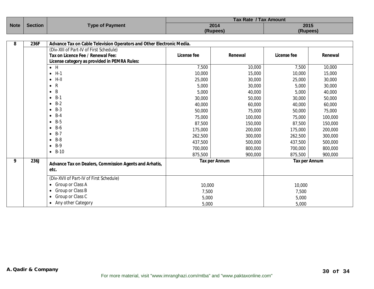|  | Note Section<br><b>Type of Payment</b> |          | <b>Tax Rate / Tax Amount</b> |      |  |
|--|----------------------------------------|----------|------------------------------|------|--|
|  |                                        |          | 2014                         | 2015 |  |
|  |                                        | (Rupees) | (Rupees)                     |      |  |

| 8 | 236F | Advance Tax on Cable Television Operators and Other Electronic Media. |             |                      |                      |         |
|---|------|-----------------------------------------------------------------------|-------------|----------------------|----------------------|---------|
|   |      | (Div-XIII of Part-IV of First Schedule)                               |             |                      |                      |         |
|   |      | Tax on Licence Fee / Renewal Fee:                                     | License fee | Renewal              | License fee          | Renewal |
|   |      | License category as provided in PEMRA Rules:                          |             |                      |                      |         |
|   |      | $\bullet$ H                                                           | 7,500       | 10,000               | 7,500                | 10,000  |
|   |      | $\bullet$ H-1                                                         | 10,000      | 15,000               | 10,000               | 15,000  |
|   |      | $H-II$<br>$\bullet$                                                   | 25,000      | 30,000               | 25,000               | 30,000  |
|   |      | R<br>$\bullet$                                                        | 5,000       | 30,000               | 5,000                | 30,000  |
|   |      | -B<br>$\bullet$                                                       | 5,000       | 40,000               | 5,000                | 40,000  |
|   |      | $-B-1$                                                                | 30,000      | 50,000               | 30,000               | 50,000  |
|   |      | $-B-2$                                                                | 40,000      | 60,000               | 40,000               | 60,000  |
|   |      | $-B-3$                                                                | 50,000      | 75,000               | 50,000               | 75,000  |
|   |      | $B-4$<br>$\bullet$                                                    | 75,000      | 100,000              | 75,000               | 100,000 |
|   |      | $-B-5$                                                                | 87,500      | 150,000              | 87,500               | 150,000 |
|   |      | $-B-6$                                                                | 175,000     | 200,000              | 175,000              | 200,000 |
|   |      | $B-7$<br>$\bullet$                                                    | 262,500     | 300,000              | 262,500              | 300,000 |
|   |      | $-B-8$                                                                | 437,500     | 500,000              | 437,500              | 500,000 |
|   |      | $-B-9$                                                                | 700,000     | 800,000              | 700,000              | 800,000 |
|   |      | $-B-10$                                                               | 875,500     | 900,000              | 875,500              | 900,000 |
| 9 | 236J | Advance Tax on Dealers, Commission Agents and Arhatis,<br>etc.        |             | <b>Tax per Annum</b> | <b>Tax per Annum</b> |         |
|   |      |                                                                       |             |                      |                      |         |
|   |      | (Div-XVII of Part-IV of First Schedule)                               |             |                      |                      |         |
|   |      | • Group or Class A                                                    | 10,000      |                      | 10,000               |         |
|   |      | Group or Class B<br>$\bullet$                                         | 7,500       |                      | 7,500                |         |
|   |      | • Group or Class C                                                    | 5,000       |                      | 5,000                |         |
|   |      | • Any other Category                                                  | 5,000       |                      | 5,000                |         |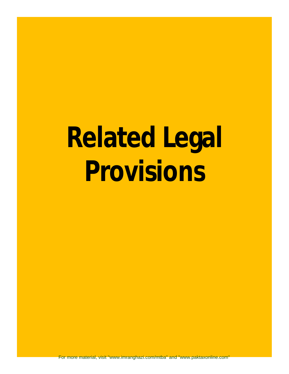# **Related Legal Provisions**

For more material, visit "www.imranghazi.com/mtba" and "www.paktaxonline.com"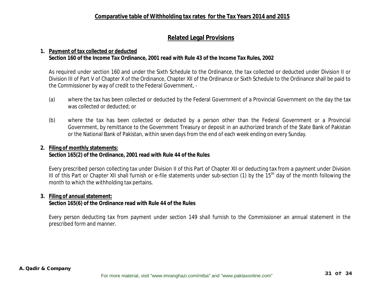#### **Related Legal Provisions**

#### **1. Payment of tax collected or deducted Section 160 of the Income Tax Ordinance, 2001 read with Rule 43 of the Income Tax Rules, 2002**

As required under section 160 and under the Sixth Schedule to the Ordinance, the tax collected or deducted under Division II or Division III of Part V of Chapter X of the Ordinance, Chapter XII of the Ordinance or Sixth Schedule to the Ordinance shall be paid to the Commissioner by way of credit to the Federal Government, -

- (a) where the tax has been collected or deducted by the Federal Government of a Provincial Government on the day the tax was collected or deducted; or
- (b) where the tax has been collected or deducted by a person other than the Federal Government or a Provincial Government, by remittance to the Government Treasury or deposit in an authorized branch of the State Bank of Pakistan or the National Bank of Pakistan, within seven days from the end of each week ending on every Sunday.

#### **2. Filing of monthly statements:**

#### **Section 165(2) of the Ordinance, 2001 read with Rule 44 of the Rules**

Every prescribed person collecting tax under Division II of this Part of Chapter XII or deducting tax from a payment under Division III of this Part or Chapter XII shall furnish or e-file statements under sub-section (1) by the 15<sup>th</sup> day of the month following the month to which the withholding tax pertains.

#### **3. Filing of annual statement:**

#### **Section 165(6) of the Ordinance read with Rule 44 of the Rules**

Every person deducting tax from payment under section 149 shall furnish to the Commissioner an annual statement in the prescribed form and manner.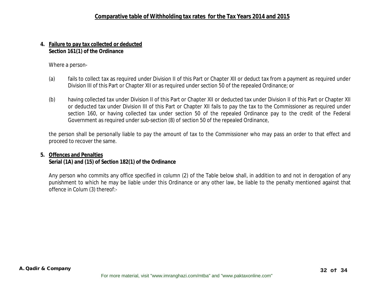#### **4. Failure to pay tax collected or deducted Section 161(1) of the Ordinance**

Where a person-

- (a) fails to collect tax as required under Division II of this Part or Chapter XII or deduct tax from a payment as required under Division III of this Part or Chapter XII or as required under section 50 of the repealed Ordinance; or
- (b) having collected tax under Division II of this Part or Chapter XII or deducted tax under Division II of this Part or Chapter XII or deducted tax under Division III of this Part or Chapter XII fails to pay the tax to the Commissioner as required under section 160, or having collected tax under section 50 of the repealed Ordinance pay to the credit of the Federal Government as required under sub-section (8) of section 50 of the repealed Ordinance,

the person shall be personally liable to pay the amount of tax to the Commissioner who may pass an order to that effect and proceed to recover the same.

#### **5. Offences and Penalties Serial (1A) and (15) of Section 182(1) of the Ordinance**

Any person who commits any office specified in column (2) of the Table below shall, in addition to and not in derogation of any punishment to which he may be liable under this Ordinance or any other law, be liable to the penalty mentioned against that offence in Colum (3) thereof:-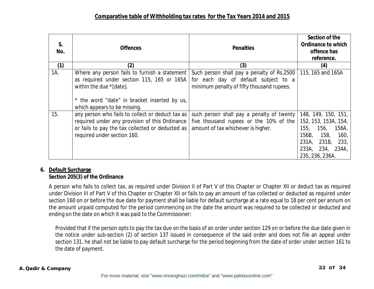| S.<br>No. | <b>Offences</b>                                                                                                                                                                                        | <b>Penalties</b>                                                                                                                | Section of the<br><b>Ordinance to which</b><br>offence has<br>reference.                                                                                   |
|-----------|--------------------------------------------------------------------------------------------------------------------------------------------------------------------------------------------------------|---------------------------------------------------------------------------------------------------------------------------------|------------------------------------------------------------------------------------------------------------------------------------------------------------|
| (1)       | (2)                                                                                                                                                                                                    | (3)                                                                                                                             | (4)                                                                                                                                                        |
| 1A.       | Where any person fails to furnish a statement<br>as required under section 115, 165 or 165A<br>within the due *[date].<br>* the word "date" in bracket inserted by us,<br>which appears to be missing. | Such person shall pay a penalty of Rs.2500<br>for each day of default subject to a<br>minimum penalty of fifty thousand rupees. | 115, 165 and 165A                                                                                                                                          |
| 15.       | any person who fails to collect or deduct tax as<br>required under any provision of this Ordinance<br>or fails to pay the tax collected or deducted as  <br>required under section 160.                | such person shall pay a penalty of twenty<br>five thousand rupees or the 10% of the<br>amount of tax whichever is higher.       | 148, 149, 150, 151,<br>152, 153, 153A, 154,<br>155,<br>156,<br>156A<br>156B,<br>158,<br>160,<br>231A,<br>231B, 233,<br>233A, 234, 234A,<br>235, 236, 236A. |

#### **6. Default Surcharge Section 205(3) of the Ordinance**

A person who fails to collect tax, as required under Division II of Part V of this Chapter or Chapter XII or deduct tax as required under Division III of Part V of this Chapter or Chapter XII or fails to pay an amount of tax collected or deducted as required under section 160 on or before the due date for payment shall be liable for default surcharge at a rate equal to 18 per cent per annum on the amount unpaid computed for the period commencing on the date the amount was required to be collected or deducted and ending on the date on which it was paid to the Commissioner:

Provided that if the person opts to pay the tax due on the basis of an order under section 129 on or before the due date given in the notice under sub-section (2) of section 137 issued in consequence of the said order and does not file an appeal under section 131, he shall not be liable to pay default surcharge for the period beginning from the date of order under section 161 to the date of payment.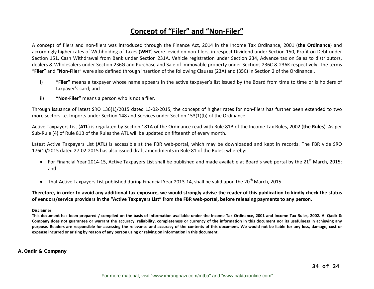#### **Concept of "Filer" and "Non‐Filer"**

A concept of filers and non‐filers was introduced through the Finance Act, 2014 in the Income Tax Ordinance, 2001 (**the Ordinance**) and accordingly higher rates of Withholding of Taxes (WHT) were levied on non-filers, in respect Dividend under Section 150, Profit on Debt under Section 151, Cash Withdrawal from Bank under Section 231A, Vehicle registration under Section 234, Advance tax on Sales to distributors, dealers & Wholesalers under Section 236G and Purchase and Sale of immovable property under Sections 236C & 236K respectively. The terms "**Filer**" and "**Non‐Filer**" were also defined through insertion of the following Clauses (23A) and (35C) in Section 2 of the Ordinance..

- i) **"Filer"** means <sup>a</sup> taxpayer whose name appears in the active taxpayer's list issued by the Board from time to time or is holders of taxpayer's card; and
- ii) **"Non‐Filer"** means <sup>a</sup> person who is not <sup>a</sup> filer.

Through issuance of latest SRO 136(1)/2015 dated 13‐02‐2015, the concept of higher rates for non‐filers has further been extended to two more sectors i.e. Imports under Section 148 and Services under Section 153(1)(b) of the Ordinance.

Active Taxpayers List (**ATL**) is regulated by Section 181A of the Ordinance read with Rule 81B of the Income Tax Rules, 2002 (**the Rules**). As per Sub‐Rule (4) of Rule 81B of the Rules the ATL will be updated on fifteenth of every month.

Latest Active Taxpayers List (**ATL**) is accessible at the FBR web‐portal, which may be downloaded and kept in records. The FBR vide SRO 176(1)/2015 dated 27‐02‐2015 has also issued draft amendments in Rule 81 of the Rules; whereby:‐

- For Financial Year 2014-15, Active Taxpayers List shall be published and made available at Board's web portal by the 21<sup>st</sup> March, 2015; and
- That Active Taxpayers List published during Financial Year 2013-14, shall be valid upon the 20<sup>th</sup> March, 2015.

Therefore, in order to avoid any additional tax exposure, we would strongly advise the reader of this publication to kindly check the status of vendors/service providers in the "Active Taxpayers List" from the FBR web-portal, before releasing payments to any person.

#### **Disclaimer**

This document has been prepared / compiled on the basis of information available under the Income Tax Ordinance, 2001 and Income Tax Rules, 2002. A. Qadir & Company does not guarantee or warrant the accuracy, reliability, completeness or currency of the information in this document nor its usefulness in achieving any purpose. Readers are responsible for assessing the relevance and accuracy of the contents of this document. We would not be liable for any loss, damage, cost or **expense incurred or arising by reason of any person using or relying on information in this document.**

#### **A. Qadir & Company**